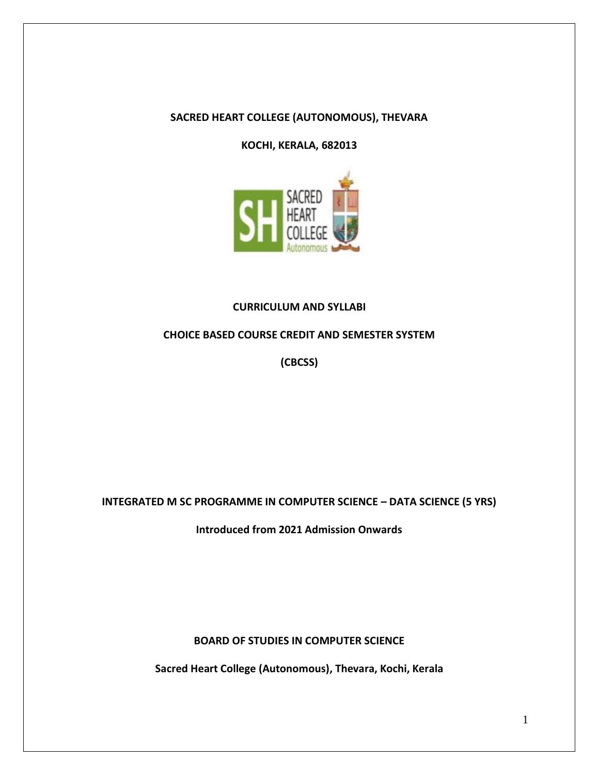### **SACRED HEART COLLEGE (AUTONOMOUS), THEVARA**

**KOCHI, KERALA, 682013**



### **CURRICULUM AND SYLLABI**

#### **CHOICE BASED COURSE CREDIT AND SEMESTER SYSTEM**

**(CBCSS)**

**INTEGRATED M SC PROGRAMME IN COMPUTER SCIENCE – DATA SCIENCE (5 YRS)**

**Introduced from 2021 Admission Onwards**

**BOARD OF STUDIES IN COMPUTER SCIENCE**

**Sacred Heart College (Autonomous), Thevara, Kochi, Kerala**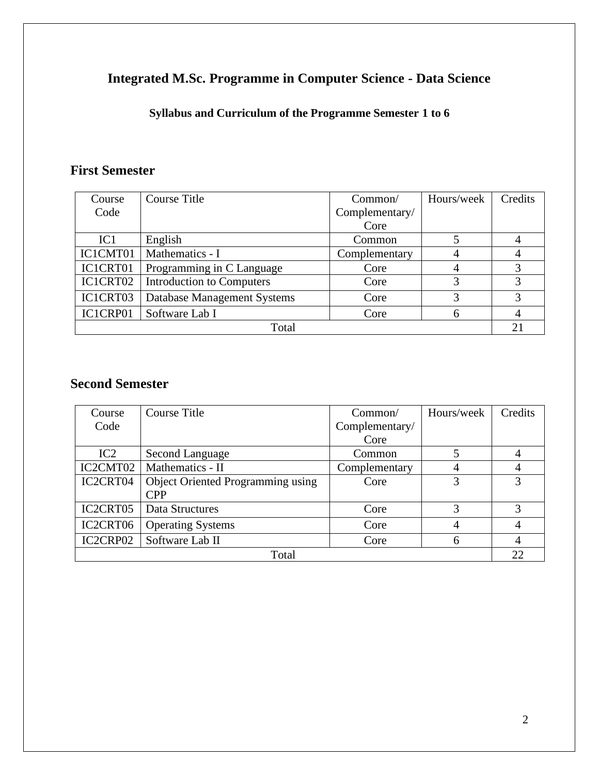# **Integrated M.Sc. Programme in Computer Science - Data Science**

**Syllabus and Curriculum of the Programme Semester 1 to 6**

# **First Semester**

| Course          | Course Title                     | Common/        | Hours/week | Credits |
|-----------------|----------------------------------|----------------|------------|---------|
| Code            |                                  | Complementary/ |            |         |
|                 |                                  | Core           |            |         |
| IC <sub>1</sub> | English                          | Common         |            |         |
| IC1CMT01        | Mathematics - I                  | Complementary  | 4          | 4       |
| IC1CRT01        | Programming in C Language        | Core           | 4          | 3       |
| IC1CRT02        | <b>Introduction to Computers</b> | Core           | 3          | 3       |
| IC1CRT03        | Database Management Systems      | Core           | 3          | 3       |
| IC1CRP01        | Software Lab I                   | Core           | 6          |         |
| Total           |                                  |                |            |         |

# **Second Semester**

| Course                            | Course Title                             | Common/        | Hours/week     | Credits |
|-----------------------------------|------------------------------------------|----------------|----------------|---------|
| Code                              |                                          | Complementary/ |                |         |
|                                   |                                          | Core           |                |         |
| IC2                               | <b>Second Language</b>                   | Common         |                | 4       |
| IC2CMT02                          | Mathematics - II                         | Complementary  |                | 4       |
| IC2CRT04                          | <b>Object Oriented Programming using</b> | Core           | 3              | 3       |
|                                   | <b>CPP</b>                               |                |                |         |
| IC <sub>2</sub> CRT <sub>05</sub> | Data Structures                          | Core           | 3              | 3       |
| IC2CRT06                          | <b>Operating Systems</b>                 | Core           | $\overline{4}$ | 4       |
| IC2CRP02                          | Software Lab II                          | Core           | 6              | 4       |
| Total                             |                                          |                |                |         |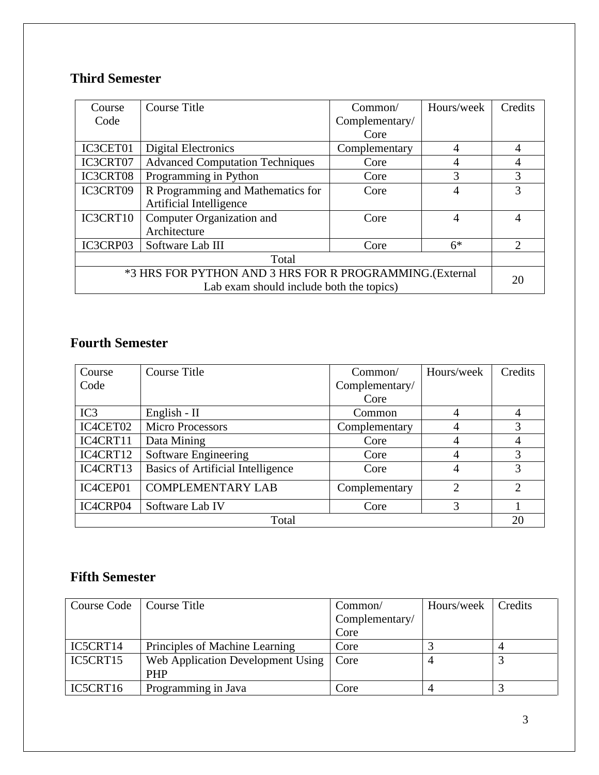# **Third Semester**

| Course                                                  | Course Title                           | Common/        | Hours/week | Credits        |
|---------------------------------------------------------|----------------------------------------|----------------|------------|----------------|
| Code                                                    |                                        | Complementary/ |            |                |
|                                                         |                                        | Core           |            |                |
| IC3CET01                                                | Digital Electronics                    | Complementary  | 4          | 4              |
| IC3CRT07                                                | <b>Advanced Computation Techniques</b> | Core           | 4          | $\overline{4}$ |
| IC3CRT08                                                | Programming in Python                  | Core           | 3          | 3              |
| IC3CRT09                                                | R Programming and Mathematics for      | Core           | 4          | 3              |
|                                                         | Artificial Intelligence                |                |            |                |
| IC3CRT10                                                | Computer Organization and              | Core           | 4          | 4              |
|                                                         | Architecture                           |                |            |                |
| IC3CRP03                                                | Software Lab III                       | Core           | $6*$       | $\overline{2}$ |
| Total                                                   |                                        |                |            |                |
| *3 HRS FOR PYTHON AND 3 HRS FOR R PROGRAMMING.(External |                                        |                |            | 20             |
| Lab exam should include both the topics)                |                                        |                |            |                |

# **Fourth Semester**

| Course   | <b>Course Title</b>                      | Common/        | Hours/week     | Credits        |
|----------|------------------------------------------|----------------|----------------|----------------|
| Code     |                                          | Complementary/ |                |                |
|          |                                          | Core           |                |                |
| IC3      | English - $II$                           | Common         | 4              | 4              |
| IC4CET02 | <b>Micro Processors</b>                  | Complementary  | 4              | 3              |
| IC4CRT11 | Data Mining                              | Core           | 4              | $\overline{4}$ |
| IC4CRT12 | Software Engineering                     | Core           | 4              | 3              |
| IC4CRT13 | <b>Basics of Artificial Intelligence</b> | Core           | 4              | 3              |
| IC4CEP01 | <b>COMPLEMENTARY LAB</b>                 | Complementary  | $\overline{2}$ | $\overline{2}$ |
| IC4CRP04 | Software Lab IV                          | Core           | 3              |                |
| Total    |                                          |                |                |                |

# **Fifth Semester**

| Course Code | Course Title                      | Common/        | Hours/week | Credits |
|-------------|-----------------------------------|----------------|------------|---------|
|             |                                   | Complementary/ |            |         |
|             |                                   | Core           |            |         |
| IC5CRT14    | Principles of Machine Learning    | Core           |            |         |
| IC5CRT15    | Web Application Development Using | Core           |            |         |
|             | <b>PHP</b>                        |                |            |         |
| IC5CRT16    | Programming in Java               | Core           |            |         |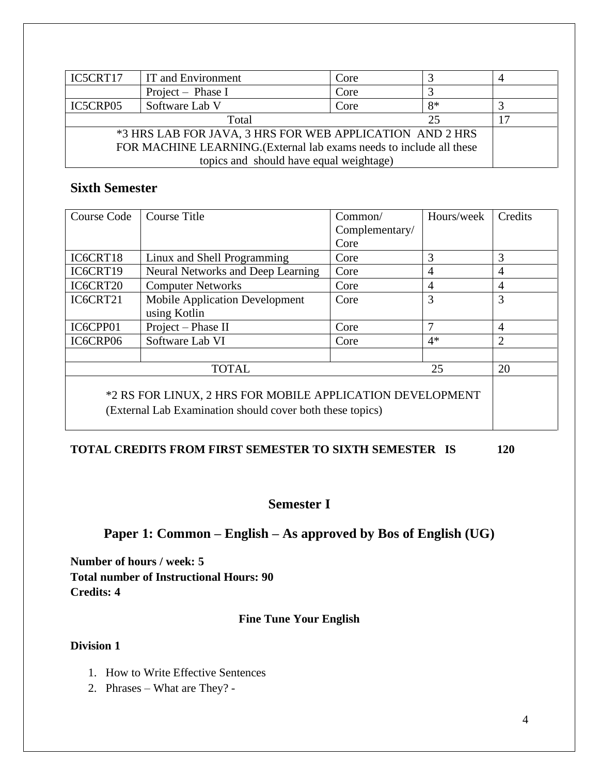| IC5CRT17                                                             | IT and Environment | Core |      |  |
|----------------------------------------------------------------------|--------------------|------|------|--|
|                                                                      | Project – Phase I  | Core |      |  |
| IC5CRP05                                                             | Software Lab V     | Core | $8*$ |  |
| Total<br>25                                                          |                    |      |      |  |
| *3 HRS LAB FOR JAVA, 3 HRS FOR WEB APPLICATION AND 2 HRS             |                    |      |      |  |
| FOR MACHINE LEARNING. (External lab exams needs to include all these |                    |      |      |  |
| topics and should have equal weightage)                              |                    |      |      |  |

## **Sixth Semester**

| Course Code                                                                                                            | Course Title                                          | Common/<br>Complementary/<br>Core | Hours/week | Credits        |  |
|------------------------------------------------------------------------------------------------------------------------|-------------------------------------------------------|-----------------------------------|------------|----------------|--|
| IC6CRT18                                                                                                               | Linux and Shell Programming                           | Core                              | 3          | 3              |  |
| IC6CRT19                                                                                                               | Neural Networks and Deep Learning                     | Core                              | 4          | $\overline{4}$ |  |
| IC6CRT20                                                                                                               | <b>Computer Networks</b>                              | Core                              | 4          | $\overline{4}$ |  |
| IC6CRT21                                                                                                               | <b>Mobile Application Development</b><br>using Kotlin | Core                              | 3          | 3              |  |
| IC6CPP01                                                                                                               | Project - Phase II                                    | Core                              | 7          | $\overline{4}$ |  |
| IC6CRP06                                                                                                               | Software Lab VI                                       | Core                              | $4*$       | $\overline{2}$ |  |
|                                                                                                                        |                                                       |                                   |            |                |  |
| <b>TOTAL</b><br>25                                                                                                     |                                                       |                                   |            |                |  |
| *2 RS FOR LINUX, 2 HRS FOR MOBILE APPLICATION DEVELOPMENT<br>(External Lab Examination should cover both these topics) |                                                       |                                   |            |                |  |

# **TOTAL CREDITS FROM FIRST SEMESTER TO SIXTH SEMESTER IS 120**

## **Semester I**

# **Paper 1: Common – English – As approved by Bos of English (UG)**

**Number of hours / week: 5 Total number of Instructional Hours: 90 Credits: 4**

## **Fine Tune Your English**

## **Division 1**

- 1. How to Write Effective Sentences
- 2. Phrases What are They? -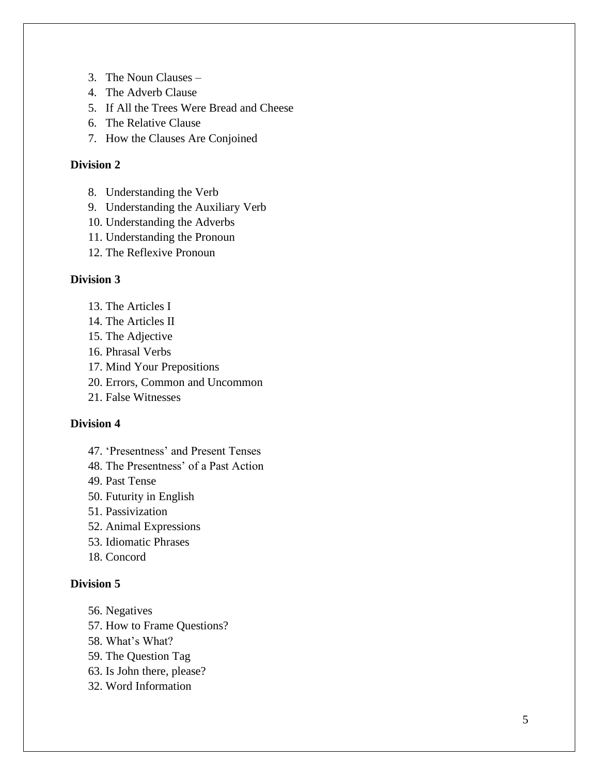- 3. The Noun Clauses –
- 4. The Adverb Clause
- 5. If All the Trees Were Bread and Cheese
- 6. The Relative Clause
- 7. How the Clauses Are Conjoined

#### **Division 2**

- 8. Understanding the Verb
- 9. Understanding the Auxiliary Verb
- 10. Understanding the Adverbs
- 11. Understanding the Pronoun
- 12. The Reflexive Pronoun

#### **Division 3**

- 13. The Articles I
- 14. The Articles II
- 15. The Adjective
- 16. Phrasal Verbs
- 17. Mind Your Prepositions
- 20. Errors, Common and Uncommon
- 21. False Witnesses

#### **Division 4**

- 47. 'Presentness' and Present Tenses
- 48. The Presentness' of a Past Action
- 49. Past Tense
- 50. Futurity in English
- 51. Passivization
- 52. Animal Expressions
- 53. Idiomatic Phrases
- 18. Concord

#### **Division 5**

- 56. Negatives
- 57. How to Frame Questions?
- 58. What's What?
- 59. The Question Tag
- 63. Is John there, please?
- 32. Word Information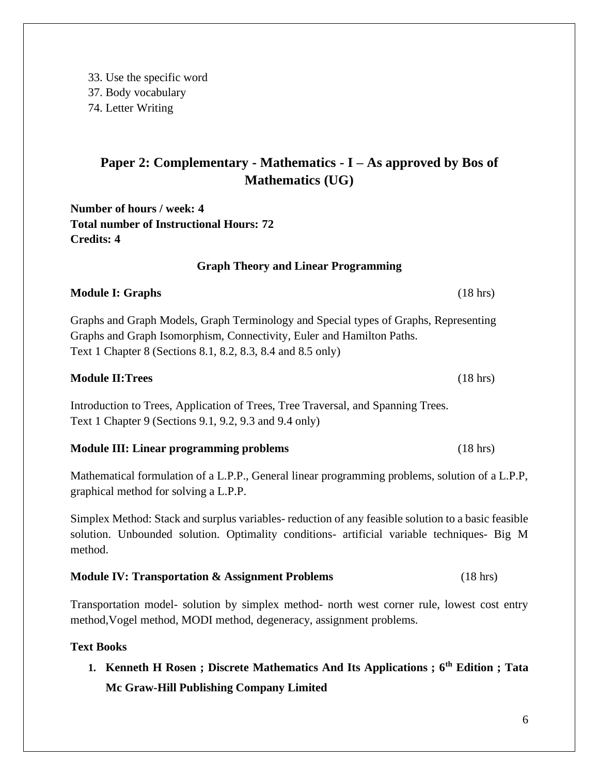33. Use the specific word 37. Body vocabulary 74. Letter Writing

# **Paper 2: Complementary - Mathematics - I – As approved by Bos of Mathematics (UG)**

**Number of hours / week: 4 Total number of Instructional Hours: 72 Credits: 4**

### **Graph Theory and Linear Programming**

## **Module I: Graphs** (18 hrs)

Graphs and Graph Models, Graph Terminology and Special types of Graphs, Representing Graphs and Graph Isomorphism, Connectivity, Euler and Hamilton Paths. Text 1 Chapter 8 (Sections 8.1, 8.2, 8.3, 8.4 and 8.5 only)

### **Module II:Trees** (18 hrs)

Introduction to Trees, Application of Trees, Tree Traversal, and Spanning Trees. Text 1 Chapter 9 (Sections 9.1, 9.2, 9.3 and 9.4 only)

#### **Module III: Linear programming problems** (18 hrs)

Mathematical formulation of a L.P.P., General linear programming problems, solution of a L.P.P, graphical method for solving a L.P.P.

Simplex Method: Stack and surplus variables- reduction of any feasible solution to a basic feasible solution. Unbounded solution. Optimality conditions- artificial variable techniques- Big M method.

## **Module IV: Transportation & Assignment Problems** (18 hrs)

Transportation model- solution by simplex method- north west corner rule, lowest cost entry method,Vogel method, MODI method, degeneracy, assignment problems.

#### **Text Books**

**1. Kenneth H Rosen ; Discrete Mathematics And Its Applications ; 6th Edition ; Tata Mc Graw-Hill Publishing Company Limited**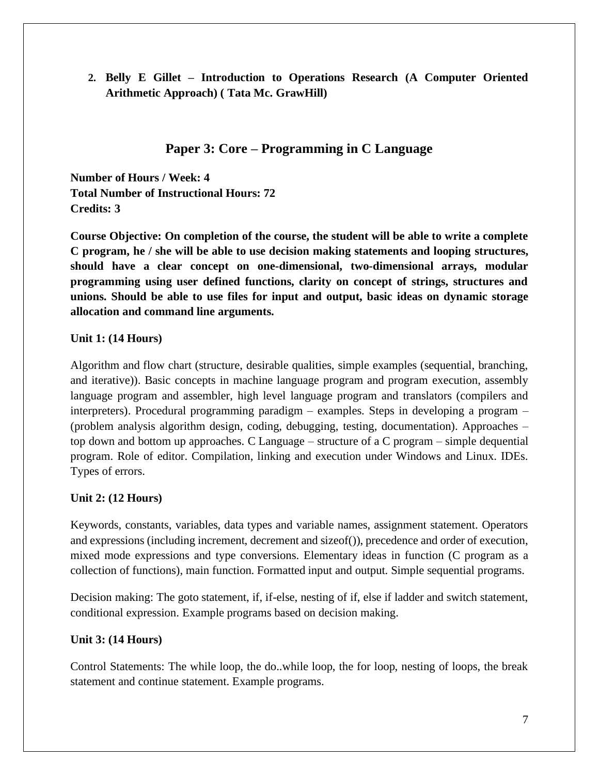**2. Belly E Gillet – Introduction to Operations Research (A Computer Oriented Arithmetic Approach) ( Tata Mc. GrawHill)**

## **Paper 3: Core – Programming in C Language**

**Number of Hours / Week: 4 Total Number of Instructional Hours: 72 Credits: 3**

**Course Objective: On completion of the course, the student will be able to write a complete C program, he / she will be able to use decision making statements and looping structures, should have a clear concept on one-dimensional, two-dimensional arrays, modular programming using user defined functions, clarity on concept of strings, structures and unions. Should be able to use files for input and output, basic ideas on dynamic storage allocation and command line arguments.**

## **Unit 1: (14 Hours)**

Algorithm and flow chart (structure, desirable qualities, simple examples (sequential, branching, and iterative)). Basic concepts in machine language program and program execution, assembly language program and assembler, high level language program and translators (compilers and interpreters). Procedural programming paradigm – examples. Steps in developing a program – (problem analysis algorithm design, coding, debugging, testing, documentation). Approaches – top down and bottom up approaches. C Language – structure of a C program – simple dequential program. Role of editor. Compilation, linking and execution under Windows and Linux. IDEs. Types of errors.

## **Unit 2: (12 Hours)**

Keywords, constants, variables, data types and variable names, assignment statement. Operators and expressions (including increment, decrement and sizeof()), precedence and order of execution, mixed mode expressions and type conversions. Elementary ideas in function (C program as a collection of functions), main function. Formatted input and output. Simple sequential programs.

Decision making: The goto statement, if, if-else, nesting of if, else if ladder and switch statement, conditional expression. Example programs based on decision making.

## **Unit 3: (14 Hours)**

Control Statements: The while loop, the do..while loop, the for loop, nesting of loops, the break statement and continue statement. Example programs.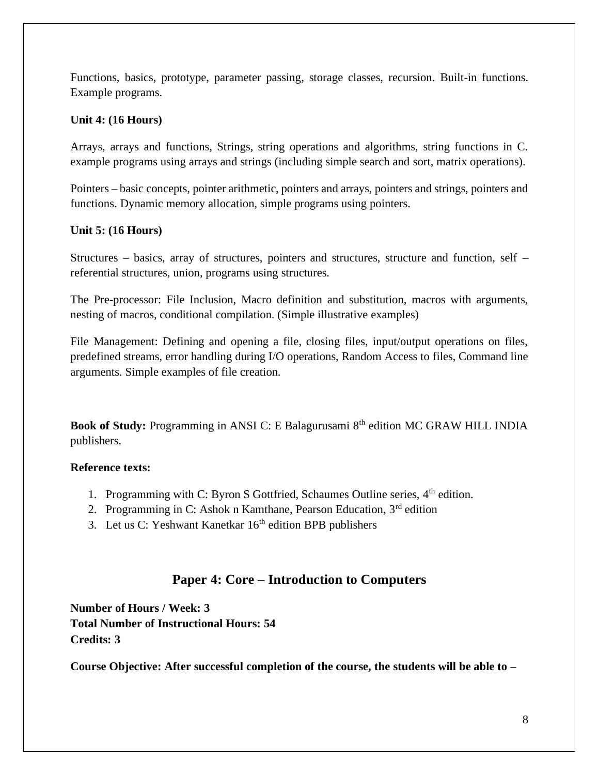Functions, basics, prototype, parameter passing, storage classes, recursion. Built-in functions. Example programs.

### **Unit 4: (16 Hours)**

Arrays, arrays and functions, Strings, string operations and algorithms, string functions in C. example programs using arrays and strings (including simple search and sort, matrix operations).

Pointers – basic concepts, pointer arithmetic, pointers and arrays, pointers and strings, pointers and functions. Dynamic memory allocation, simple programs using pointers.

### **Unit 5: (16 Hours)**

Structures – basics, array of structures, pointers and structures, structure and function, self – referential structures, union, programs using structures.

The Pre-processor: File Inclusion, Macro definition and substitution, macros with arguments, nesting of macros, conditional compilation. (Simple illustrative examples)

File Management: Defining and opening a file, closing files, input/output operations on files, predefined streams, error handling during I/O operations, Random Access to files, Command line arguments. Simple examples of file creation.

**Book of Study:** Programming in ANSI C: E Balagurusami 8<sup>th</sup> edition MC GRAW HILL INDIA publishers.

## **Reference texts:**

- 1. Programming with C: Byron S Gottfried, Schaumes Outline series, 4<sup>th</sup> edition.
- 2. Programming in C: Ashok n Kamthane, Pearson Education,  $3<sup>rd</sup>$  edition
- 3. Let us C: Yeshwant Kanetkar  $16<sup>th</sup>$  edition BPB publishers

## **Paper 4: Core – Introduction to Computers**

**Number of Hours / Week: 3 Total Number of Instructional Hours: 54 Credits: 3**

**Course Objective: After successful completion of the course, the students will be able to –**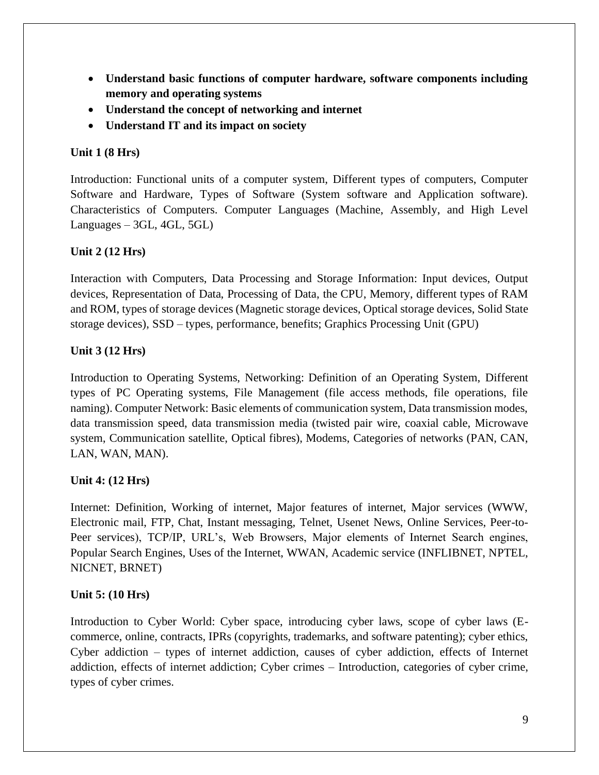- **Understand basic functions of computer hardware, software components including memory and operating systems**
- **Understand the concept of networking and internet**
- **Understand IT and its impact on society**

### **Unit 1 (8 Hrs)**

Introduction: Functional units of a computer system, Different types of computers, Computer Software and Hardware, Types of Software (System software and Application software). Characteristics of Computers. Computer Languages (Machine, Assembly, and High Level  $Languages - 3GL, 4GL, 5GL)$ 

### **Unit 2 (12 Hrs)**

Interaction with Computers, Data Processing and Storage Information: Input devices, Output devices, Representation of Data, Processing of Data, the CPU, Memory, different types of RAM and ROM, types of storage devices (Magnetic storage devices, Optical storage devices, Solid State storage devices), SSD – types, performance, benefits; Graphics Processing Unit (GPU)

### **Unit 3 (12 Hrs)**

Introduction to Operating Systems, Networking: Definition of an Operating System, Different types of PC Operating systems, File Management (file access methods, file operations, file naming). Computer Network: Basic elements of communication system, Data transmission modes, data transmission speed, data transmission media (twisted pair wire, coaxial cable, Microwave system, Communication satellite, Optical fibres), Modems, Categories of networks (PAN, CAN, LAN, WAN, MAN).

#### **Unit 4: (12 Hrs)**

Internet: Definition, Working of internet, Major features of internet, Major services (WWW, Electronic mail, FTP, Chat, Instant messaging, Telnet, Usenet News, Online Services, Peer-to-Peer services), TCP/IP, URL's, Web Browsers, Major elements of Internet Search engines, Popular Search Engines, Uses of the Internet, WWAN, Academic service (INFLIBNET, NPTEL, NICNET, BRNET)

## **Unit 5: (10 Hrs)**

Introduction to Cyber World: Cyber space, introducing cyber laws, scope of cyber laws (Ecommerce, online, contracts, IPRs (copyrights, trademarks, and software patenting); cyber ethics, Cyber addiction – types of internet addiction, causes of cyber addiction, effects of Internet addiction, effects of internet addiction; Cyber crimes – Introduction, categories of cyber crime, types of cyber crimes.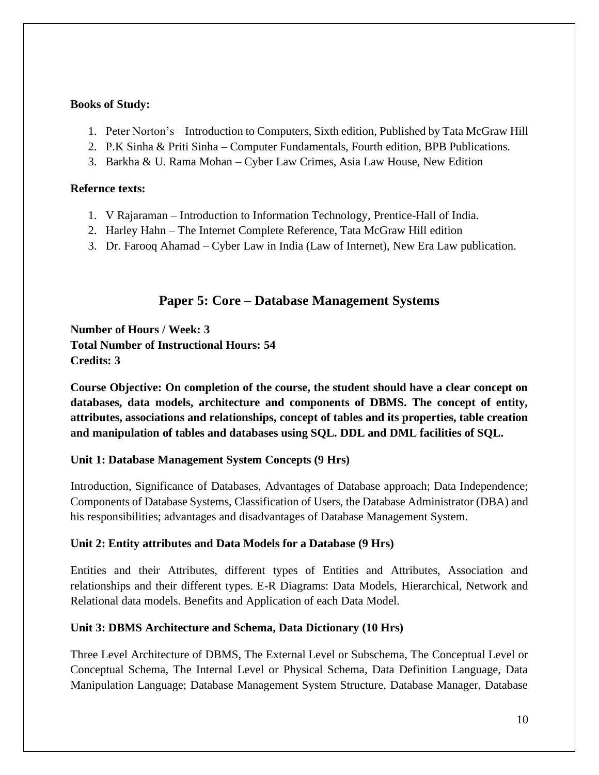### **Books of Study:**

- 1. Peter Norton's Introduction to Computers, Sixth edition, Published by Tata McGraw Hill
- 2. P.K Sinha & Priti Sinha Computer Fundamentals, Fourth edition, BPB Publications.
- 3. Barkha & U. Rama Mohan Cyber Law Crimes, Asia Law House, New Edition

### **Refernce texts:**

- 1. V Rajaraman Introduction to Information Technology, Prentice-Hall of India.
- 2. Harley Hahn The Internet Complete Reference, Tata McGraw Hill edition
- 3. Dr. Farooq Ahamad Cyber Law in India (Law of Internet), New Era Law publication.

## **Paper 5: Core – Database Management Systems**

**Number of Hours / Week: 3 Total Number of Instructional Hours: 54 Credits: 3**

**Course Objective: On completion of the course, the student should have a clear concept on databases, data models, architecture and components of DBMS. The concept of entity, attributes, associations and relationships, concept of tables and its properties, table creation and manipulation of tables and databases using SQL. DDL and DML facilities of SQL.**

## **Unit 1: Database Management System Concepts (9 Hrs)**

Introduction, Significance of Databases, Advantages of Database approach; Data Independence; Components of Database Systems, Classification of Users, the Database Administrator (DBA) and his responsibilities; advantages and disadvantages of Database Management System.

## **Unit 2: Entity attributes and Data Models for a Database (9 Hrs)**

Entities and their Attributes, different types of Entities and Attributes, Association and relationships and their different types. E-R Diagrams: Data Models, Hierarchical, Network and Relational data models. Benefits and Application of each Data Model.

## **Unit 3: DBMS Architecture and Schema, Data Dictionary (10 Hrs)**

Three Level Architecture of DBMS, The External Level or Subschema, The Conceptual Level or Conceptual Schema, The Internal Level or Physical Schema, Data Definition Language, Data Manipulation Language; Database Management System Structure, Database Manager, Database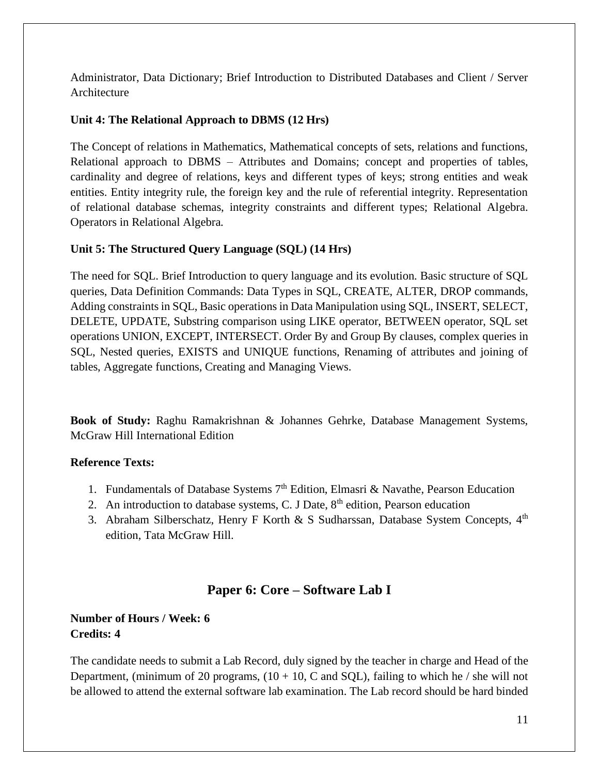Administrator, Data Dictionary; Brief Introduction to Distributed Databases and Client / Server Architecture

### **Unit 4: The Relational Approach to DBMS (12 Hrs)**

The Concept of relations in Mathematics, Mathematical concepts of sets, relations and functions, Relational approach to DBMS – Attributes and Domains; concept and properties of tables, cardinality and degree of relations, keys and different types of keys; strong entities and weak entities. Entity integrity rule, the foreign key and the rule of referential integrity. Representation of relational database schemas, integrity constraints and different types; Relational Algebra. Operators in Relational Algebra.

### **Unit 5: The Structured Query Language (SQL) (14 Hrs)**

The need for SQL. Brief Introduction to query language and its evolution. Basic structure of SQL queries, Data Definition Commands: Data Types in SQL, CREATE, ALTER, DROP commands, Adding constraints in SQL, Basic operations in Data Manipulation using SQL, INSERT, SELECT, DELETE, UPDATE, Substring comparison using LIKE operator, BETWEEN operator, SQL set operations UNION, EXCEPT, INTERSECT. Order By and Group By clauses, complex queries in SQL, Nested queries, EXISTS and UNIQUE functions, Renaming of attributes and joining of tables, Aggregate functions, Creating and Managing Views.

**Book of Study:** Raghu Ramakrishnan & Johannes Gehrke, Database Management Systems, McGraw Hill International Edition

## **Reference Texts:**

- 1. Fundamentals of Database Systems  $7<sup>th</sup>$  Edition, Elmasri & Navathe, Pearson Education
- 2. An introduction to database systems, C. J Date,  $8<sup>th</sup>$  edition, Pearson education
- 3. Abraham Silberschatz, Henry F Korth & S Sudharssan, Database System Concepts, 4<sup>th</sup> edition, Tata McGraw Hill.

# **Paper 6: Core – Software Lab I**

## **Number of Hours / Week: 6 Credits: 4**

The candidate needs to submit a Lab Record, duly signed by the teacher in charge and Head of the Department, (minimum of 20 programs,  $(10 + 10, C \text{ and } SQL)$ , failing to which he / she will not be allowed to attend the external software lab examination. The Lab record should be hard binded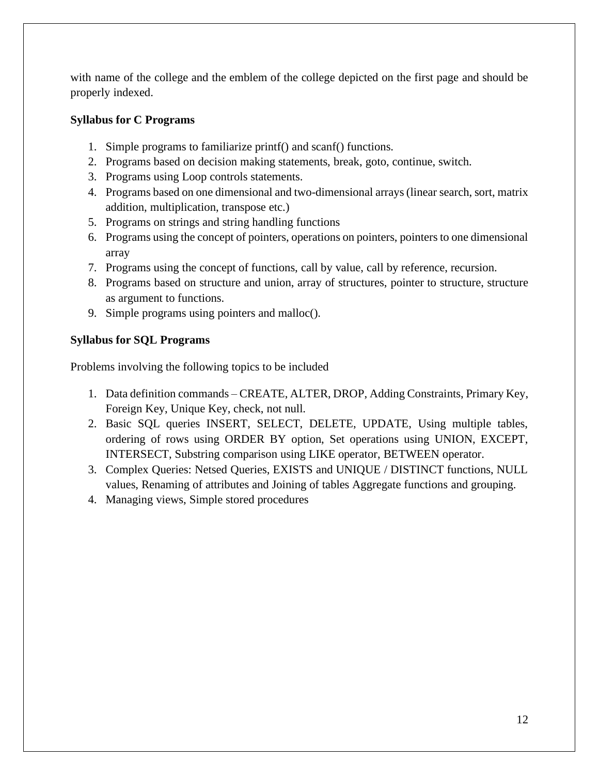with name of the college and the emblem of the college depicted on the first page and should be properly indexed.

## **Syllabus for C Programs**

- 1. Simple programs to familiarize printf() and scanf() functions.
- 2. Programs based on decision making statements, break, goto, continue, switch.
- 3. Programs using Loop controls statements.
- 4. Programs based on one dimensional and two-dimensional arrays (linear search, sort, matrix addition, multiplication, transpose etc.)
- 5. Programs on strings and string handling functions
- 6. Programs using the concept of pointers, operations on pointers, pointers to one dimensional array
- 7. Programs using the concept of functions, call by value, call by reference, recursion.
- 8. Programs based on structure and union, array of structures, pointer to structure, structure as argument to functions.
- 9. Simple programs using pointers and malloc().

## **Syllabus for SQL Programs**

Problems involving the following topics to be included

- 1. Data definition commands CREATE, ALTER, DROP, Adding Constraints, Primary Key, Foreign Key, Unique Key, check, not null.
- 2. Basic SQL queries INSERT, SELECT, DELETE, UPDATE, Using multiple tables, ordering of rows using ORDER BY option, Set operations using UNION, EXCEPT, INTERSECT, Substring comparison using LIKE operator, BETWEEN operator.
- 3. Complex Queries: Netsed Queries, EXISTS and UNIQUE / DISTINCT functions, NULL values, Renaming of attributes and Joining of tables Aggregate functions and grouping.
- 4. Managing views, Simple stored procedures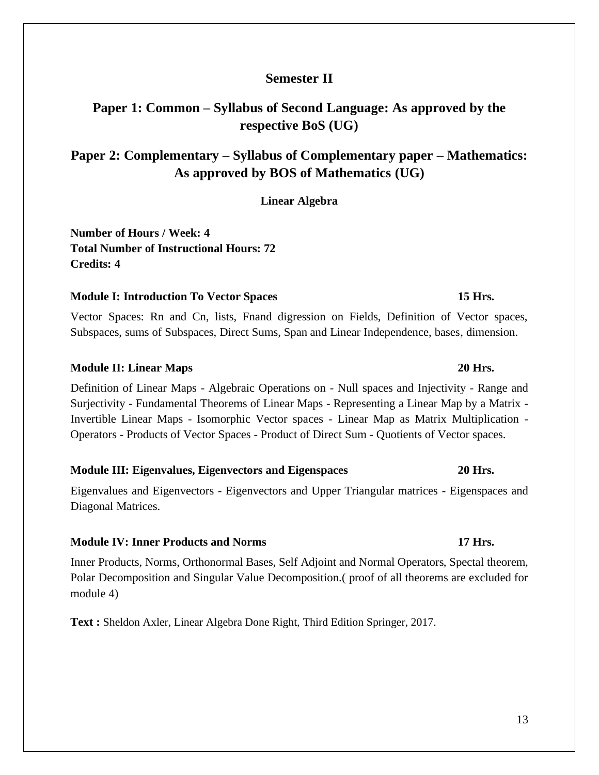## **Semester II**

# **Paper 1: Common – Syllabus of Second Language: As approved by the respective BoS (UG)**

# **Paper 2: Complementary – Syllabus of Complementary paper – Mathematics: As approved by BOS of Mathematics (UG)**

**Linear Algebra**

**Number of Hours / Week: 4 Total Number of Instructional Hours: 72 Credits: 4**

#### **Module I: Introduction To Vector Spaces** 15 Hrs. **15 Hrs.**

Vector Spaces: Rn and Cn, lists, Fnand digression on Fields, Definition of Vector spaces, Subspaces, sums of Subspaces, Direct Sums, Span and Linear Independence, bases, dimension.

#### **Module II: Linear Maps** 20 Hrs. 20 Hrs.

Definition of Linear Maps - Algebraic Operations on - Null spaces and Injectivity - Range and Surjectivity - Fundamental Theorems of Linear Maps - Representing a Linear Map by a Matrix - Invertible Linear Maps - Isomorphic Vector spaces - Linear Map as Matrix Multiplication - Operators - Products of Vector Spaces - Product of Direct Sum - Quotients of Vector spaces.

#### **Module III: Eigenvalues, Eigenvectors and Eigenspaces 20 Hrs.**

Eigenvalues and Eigenvectors - Eigenvectors and Upper Triangular matrices - Eigenspaces and Diagonal Matrices.

#### **Module IV: Inner Products and Norms 17 Hrs.**

Inner Products, Norms, Orthonormal Bases, Self Adjoint and Normal Operators, Spectal theorem, Polar Decomposition and Singular Value Decomposition.( proof of all theorems are excluded for module 4)

**Text :** Sheldon Axler, Linear Algebra Done Right, Third Edition Springer, 2017.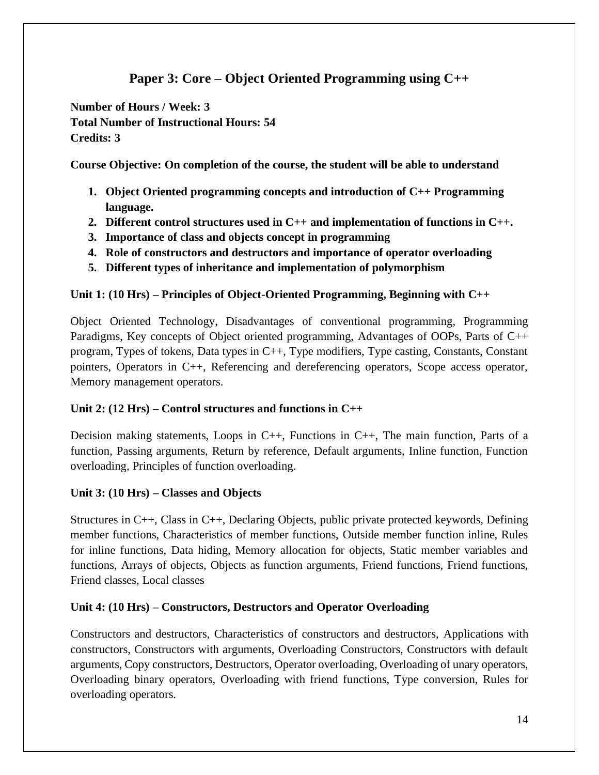# **Paper 3: Core – Object Oriented Programming using C++**

**Number of Hours / Week: 3 Total Number of Instructional Hours: 54 Credits: 3**

**Course Objective: On completion of the course, the student will be able to understand**

- **1. Object Oriented programming concepts and introduction of C++ Programming language.**
- **2. Different control structures used in C++ and implementation of functions in C++.**
- **3. Importance of class and objects concept in programming**
- **4. Role of constructors and destructors and importance of operator overloading**
- **5. Different types of inheritance and implementation of polymorphism**

## **Unit 1: (10 Hrs) – Principles of Object-Oriented Programming, Beginning with C++**

Object Oriented Technology, Disadvantages of conventional programming, Programming Paradigms, Key concepts of Object oriented programming, Advantages of OOPs, Parts of C++ program, Types of tokens, Data types in C++, Type modifiers, Type casting, Constants, Constant pointers, Operators in C++, Referencing and dereferencing operators, Scope access operator, Memory management operators.

## **Unit 2: (12 Hrs) – Control structures and functions in C++**

Decision making statements, Loops in C++, Functions in C++, The main function, Parts of a function, Passing arguments, Return by reference, Default arguments, Inline function, Function overloading, Principles of function overloading.

## **Unit 3: (10 Hrs) – Classes and Objects**

Structures in C++, Class in C++, Declaring Objects, public private protected keywords, Defining member functions, Characteristics of member functions, Outside member function inline, Rules for inline functions, Data hiding, Memory allocation for objects, Static member variables and functions, Arrays of objects, Objects as function arguments, Friend functions, Friend functions, Friend classes, Local classes

## **Unit 4: (10 Hrs) – Constructors, Destructors and Operator Overloading**

Constructors and destructors, Characteristics of constructors and destructors, Applications with constructors, Constructors with arguments, Overloading Constructors, Constructors with default arguments, Copy constructors, Destructors, Operator overloading, Overloading of unary operators, Overloading binary operators, Overloading with friend functions, Type conversion, Rules for overloading operators.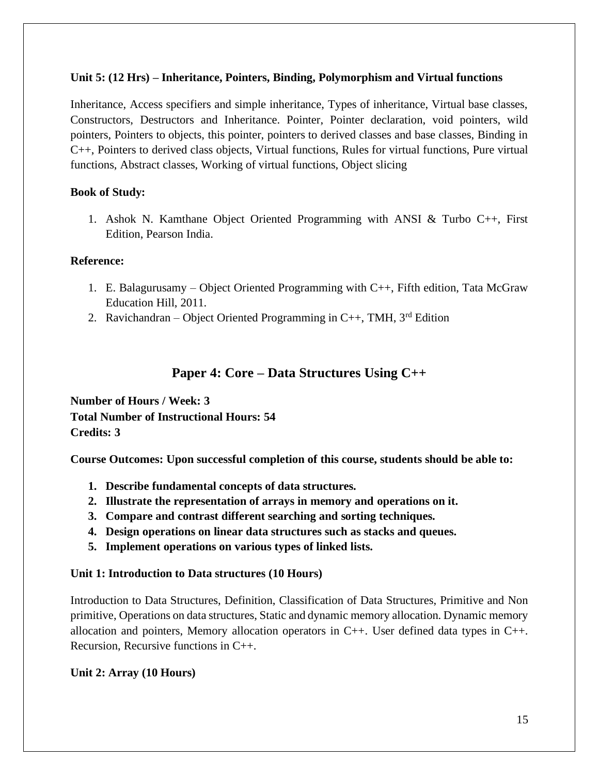### **Unit 5: (12 Hrs) – Inheritance, Pointers, Binding, Polymorphism and Virtual functions**

Inheritance, Access specifiers and simple inheritance, Types of inheritance, Virtual base classes, Constructors, Destructors and Inheritance. Pointer, Pointer declaration, void pointers, wild pointers, Pointers to objects, this pointer, pointers to derived classes and base classes, Binding in C++, Pointers to derived class objects, Virtual functions, Rules for virtual functions, Pure virtual functions, Abstract classes, Working of virtual functions, Object slicing

### **Book of Study:**

1. Ashok N. Kamthane Object Oriented Programming with ANSI & Turbo C++, First Edition, Pearson India.

### **Reference:**

- 1. E. Balagurusamy Object Oriented Programming with C++, Fifth edition, Tata McGraw Education Hill, 2011.
- 2. Ravichandran Object Oriented Programming in C++, TMH,  $3^{rd}$  Edition

## **Paper 4: Core – Data Structures Using C++**

**Number of Hours / Week: 3 Total Number of Instructional Hours: 54 Credits: 3**

**Course Outcomes: Upon successful completion of this course, students should be able to:**

- **1. Describe fundamental concepts of data structures.**
- **2. Illustrate the representation of arrays in memory and operations on it.**
- **3. Compare and contrast different searching and sorting techniques.**
- **4. Design operations on linear data structures such as stacks and queues.**
- **5. Implement operations on various types of linked lists.**

#### **Unit 1: Introduction to Data structures (10 Hours)**

Introduction to Data Structures, Definition, Classification of Data Structures, Primitive and Non primitive, Operations on data structures, Static and dynamic memory allocation. Dynamic memory allocation and pointers, Memory allocation operators in  $C_{++}$ . User defined data types in  $C_{++}$ . Recursion, Recursive functions in C++.

## **Unit 2: Array (10 Hours)**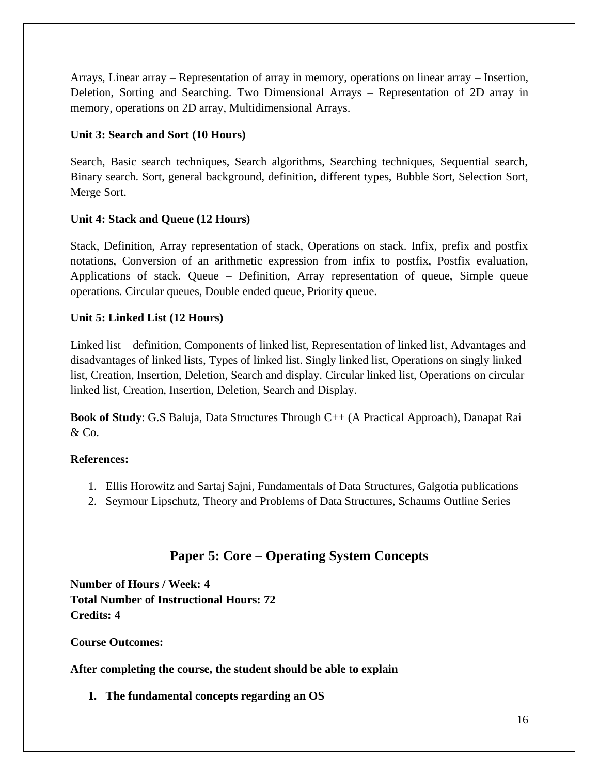Arrays, Linear array – Representation of array in memory, operations on linear array – Insertion, Deletion, Sorting and Searching. Two Dimensional Arrays – Representation of 2D array in memory, operations on 2D array, Multidimensional Arrays.

## **Unit 3: Search and Sort (10 Hours)**

Search, Basic search techniques, Search algorithms, Searching techniques, Sequential search, Binary search. Sort, general background, definition, different types, Bubble Sort, Selection Sort, Merge Sort.

## **Unit 4: Stack and Queue (12 Hours)**

Stack, Definition, Array representation of stack, Operations on stack. Infix, prefix and postfix notations, Conversion of an arithmetic expression from infix to postfix, Postfix evaluation, Applications of stack. Queue – Definition, Array representation of queue, Simple queue operations. Circular queues, Double ended queue, Priority queue.

## **Unit 5: Linked List (12 Hours)**

Linked list – definition, Components of linked list, Representation of linked list, Advantages and disadvantages of linked lists, Types of linked list. Singly linked list, Operations on singly linked list, Creation, Insertion, Deletion, Search and display. Circular linked list, Operations on circular linked list, Creation, Insertion, Deletion, Search and Display.

**Book of Study**: G.S Baluja, Data Structures Through C++ (A Practical Approach), Danapat Rai  $&$  Co.

## **References:**

- 1. Ellis Horowitz and Sartaj Sajni, Fundamentals of Data Structures, Galgotia publications
- 2. Seymour Lipschutz, Theory and Problems of Data Structures, Schaums Outline Series

# **Paper 5: Core – Operating System Concepts**

**Number of Hours / Week: 4 Total Number of Instructional Hours: 72 Credits: 4**

**Course Outcomes:**

**After completing the course, the student should be able to explain**

**1. The fundamental concepts regarding an OS**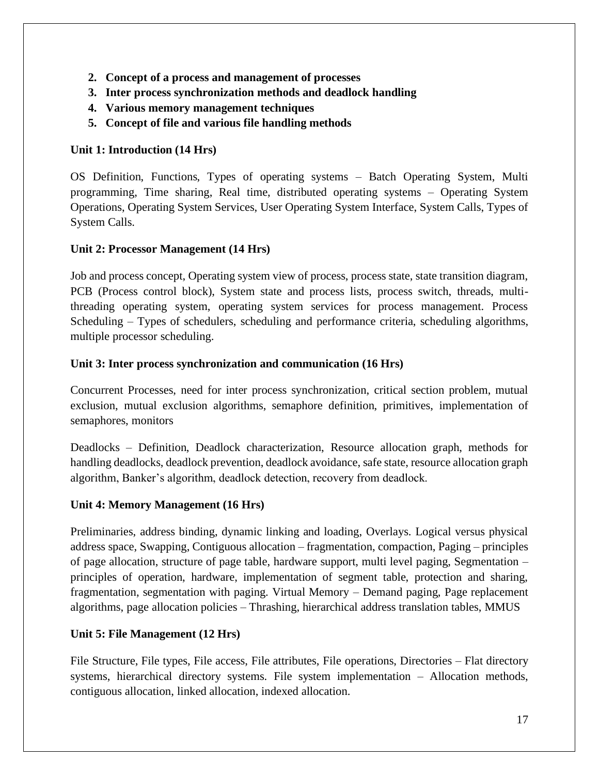- **2. Concept of a process and management of processes**
- **3. Inter process synchronization methods and deadlock handling**
- **4. Various memory management techniques**
- **5. Concept of file and various file handling methods**

## **Unit 1: Introduction (14 Hrs)**

OS Definition, Functions, Types of operating systems – Batch Operating System, Multi programming, Time sharing, Real time, distributed operating systems – Operating System Operations, Operating System Services, User Operating System Interface, System Calls, Types of System Calls.

## **Unit 2: Processor Management (14 Hrs)**

Job and process concept, Operating system view of process, process state, state transition diagram, PCB (Process control block), System state and process lists, process switch, threads, multithreading operating system, operating system services for process management. Process Scheduling – Types of schedulers, scheduling and performance criteria, scheduling algorithms, multiple processor scheduling.

## **Unit 3: Inter process synchronization and communication (16 Hrs)**

Concurrent Processes, need for inter process synchronization, critical section problem, mutual exclusion, mutual exclusion algorithms, semaphore definition, primitives, implementation of semaphores, monitors

Deadlocks – Definition, Deadlock characterization, Resource allocation graph, methods for handling deadlocks, deadlock prevention, deadlock avoidance, safe state, resource allocation graph algorithm, Banker's algorithm, deadlock detection, recovery from deadlock.

## **Unit 4: Memory Management (16 Hrs)**

Preliminaries, address binding, dynamic linking and loading, Overlays. Logical versus physical address space, Swapping, Contiguous allocation – fragmentation, compaction, Paging – principles of page allocation, structure of page table, hardware support, multi level paging, Segmentation – principles of operation, hardware, implementation of segment table, protection and sharing, fragmentation, segmentation with paging. Virtual Memory – Demand paging, Page replacement algorithms, page allocation policies – Thrashing, hierarchical address translation tables, MMUS

## **Unit 5: File Management (12 Hrs)**

File Structure, File types, File access, File attributes, File operations, Directories – Flat directory systems, hierarchical directory systems. File system implementation – Allocation methods, contiguous allocation, linked allocation, indexed allocation.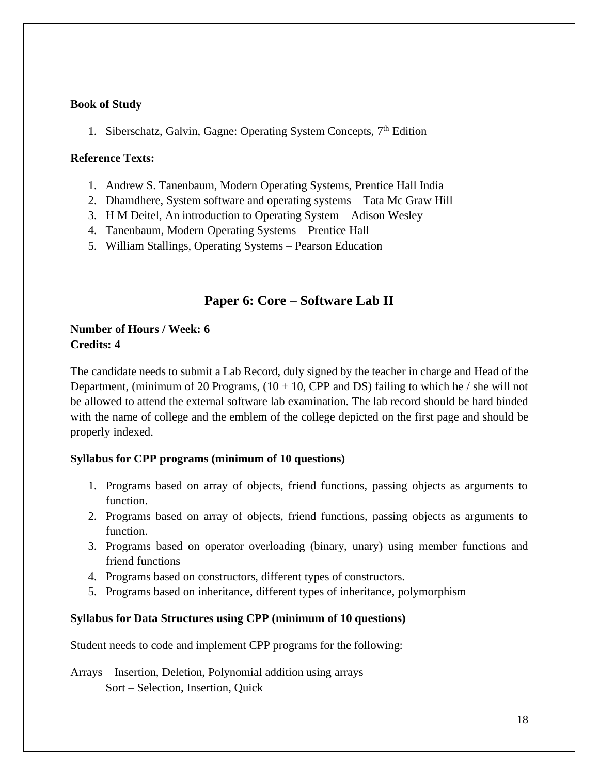### **Book of Study**

1. Siberschatz, Galvin, Gagne: Operating System Concepts,  $7<sup>th</sup>$  Edition

#### **Reference Texts:**

- 1. Andrew S. Tanenbaum, Modern Operating Systems, Prentice Hall India
- 2. Dhamdhere, System software and operating systems Tata Mc Graw Hill
- 3. H M Deitel, An introduction to Operating System Adison Wesley
- 4. Tanenbaum, Modern Operating Systems Prentice Hall
- 5. William Stallings, Operating Systems Pearson Education

## **Paper 6: Core – Software Lab II**

## **Number of Hours / Week: 6 Credits: 4**

The candidate needs to submit a Lab Record, duly signed by the teacher in charge and Head of the Department, (minimum of 20 Programs,  $(10 + 10,$  CPP and DS) failing to which he / she will not be allowed to attend the external software lab examination. The lab record should be hard binded with the name of college and the emblem of the college depicted on the first page and should be properly indexed.

#### **Syllabus for CPP programs (minimum of 10 questions)**

- 1. Programs based on array of objects, friend functions, passing objects as arguments to function.
- 2. Programs based on array of objects, friend functions, passing objects as arguments to function.
- 3. Programs based on operator overloading (binary, unary) using member functions and friend functions
- 4. Programs based on constructors, different types of constructors.
- 5. Programs based on inheritance, different types of inheritance, polymorphism

#### **Syllabus for Data Structures using CPP (minimum of 10 questions)**

Student needs to code and implement CPP programs for the following:

Arrays – Insertion, Deletion, Polynomial addition using arrays Sort – Selection, Insertion, Quick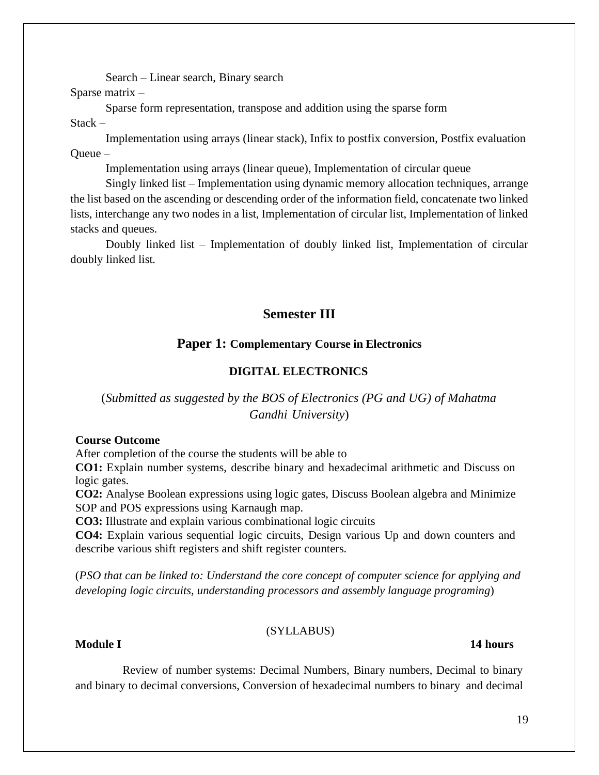Search – Linear search, Binary search

Sparse matrix –

Sparse form representation, transpose and addition using the sparse form

Stack –

Implementation using arrays (linear stack), Infix to postfix conversion, Postfix evaluation Queue –

Implementation using arrays (linear queue), Implementation of circular queue

Singly linked list – Implementation using dynamic memory allocation techniques, arrange the list based on the ascending or descending order of the information field, concatenate two linked lists, interchange any two nodes in a list, Implementation of circular list, Implementation of linked stacks and queues.

Doubly linked list – Implementation of doubly linked list, Implementation of circular doubly linked list.

# **Semester III**

## **Paper 1: Complementary Course in Electronics**

## **DIGITAL ELECTRONICS**

## (*Submitted as suggested by the BOS of Electronics (PG and UG) of Mahatma Gandhi University*)

#### **Course Outcome**

After completion of the course the students will be able to

**CO1:** Explain number systems, describe binary and hexadecimal arithmetic and Discuss on logic gates.

**CO2:** Analyse Boolean expressions using logic gates, Discuss Boolean algebra and Minimize SOP and POS expressions using Karnaugh map.

**CO3:** Illustrate and explain various combinational logic circuits

**CO4:** Explain various sequential logic circuits, Design various Up and down counters and describe various shift registers and shift register counters.

(*PSO that can be linked to: Understand the core concept of computer science for applying and developing logic circuits, understanding processors and assembly language programing*)

## (SYLLABUS)

## **Module I 14 hours**

Review of number systems: Decimal Numbers, Binary numbers, Decimal to binary and binary to decimal conversions, Conversion of hexadecimal numbers to binary and decimal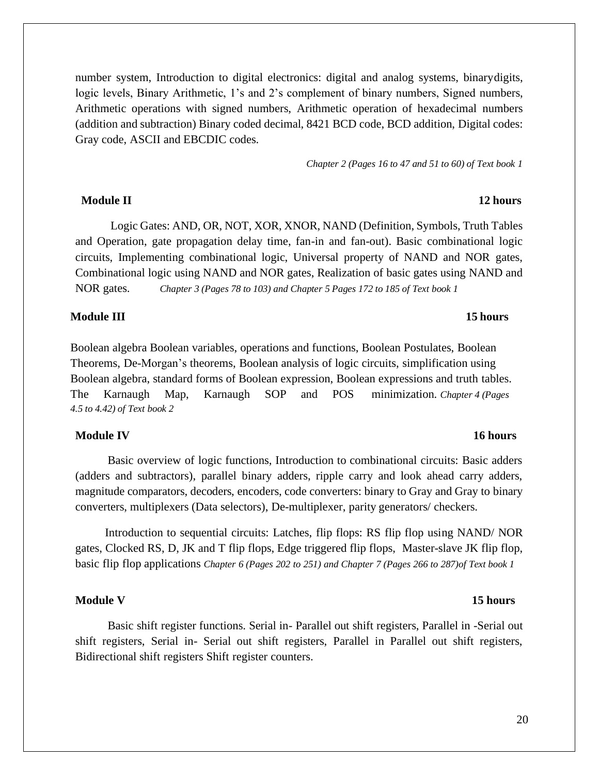number system, Introduction to digital electronics: digital and analog systems, binarydigits, logic levels, Binary Arithmetic, 1's and 2's complement of binary numbers, Signed numbers, Arithmetic operations with signed numbers, Arithmetic operation of hexadecimal numbers (addition and subtraction) Binary coded decimal, 8421 BCD code, BCD addition, Digital codes: Gray code, ASCII and EBCDIC codes.

*Chapter 2 (Pages 16 to 47 and 51 to 60) of Text book 1*

#### **Module II 12 hours**

Logic Gates: AND, OR, NOT, XOR, XNOR, NAND (Definition, Symbols, Truth Tables and Operation, gate propagation delay time, fan-in and fan-out). Basic combinational logic circuits, Implementing combinational logic, Universal property of NAND and NOR gates, Combinational logic using NAND and NOR gates, Realization of basic gates using NAND and NOR gates. *Chapter 3 (Pages 78 to 103) and Chapter 5 Pages 172 to 185 of Text book 1*

#### **Module III** 15 **hours**

Boolean algebra Boolean variables, operations and functions, Boolean Postulates, Boolean Theorems, De-Morgan's theorems, Boolean analysis of logic circuits, simplification using Boolean algebra, standard forms of Boolean expression, Boolean expressions and truth tables. The Karnaugh Map, Karnaugh SOP and POS minimization. *Chapter 4 (Pages 4.5 to 4.42) of Text book 2*

#### **Module IV 16 hours**

Basic overview of logic functions, Introduction to combinational circuits: Basic adders (adders and subtractors), parallel binary adders, ripple carry and look ahead carry adders, magnitude comparators, decoders, encoders, code converters: binary to Gray and Gray to binary converters, multiplexers (Data selectors), De-multiplexer, parity generators/ checkers.

Introduction to sequential circuits: Latches, flip flops: RS flip flop using NAND/ NOR gates, Clocked RS, D, JK and T flip flops, Edge triggered flip flops, Master-slave JK flip flop, basic flip flop applications *Chapter 6 (Pages 202 to 251) and Chapter 7 (Pages 266 to 287)of Text book 1*

#### **Module V 15 hours**

Basic shift register functions. Serial in- Parallel out shift registers, Parallel in -Serial out shift registers, Serial in- Serial out shift registers, Parallel in Parallel out shift registers, Bidirectional shift registers Shift register counters.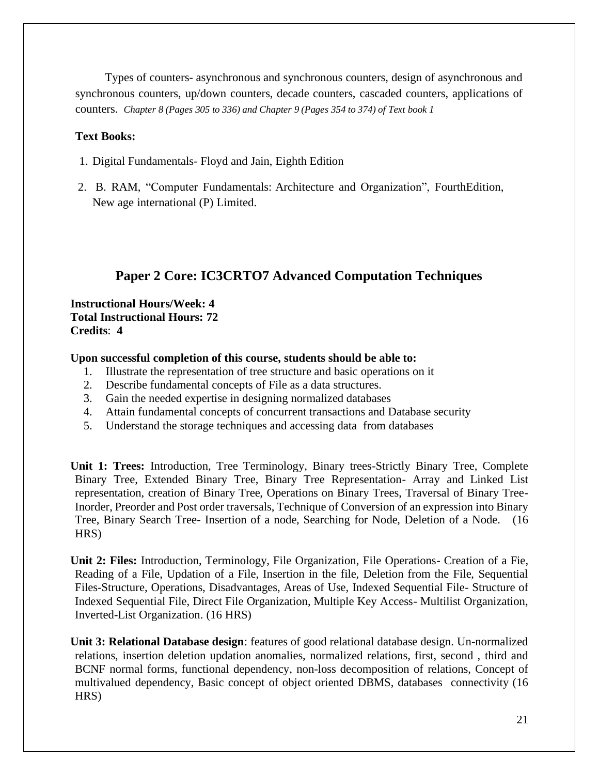Types of counters- asynchronous and synchronous counters, design of asynchronous and synchronous counters, up/down counters, decade counters, cascaded counters, applications of counters. *Chapter 8 (Pages 305 to 336) and Chapter 9 (Pages 354 to 374) of Text book 1*

### **Text Books:**

- 1. Digital Fundamentals- Floyd and Jain, Eighth Edition
- 2. B. RAM, "Computer Fundamentals: Architecture and Organization", FourthEdition, New age international (P) Limited.

# **Paper 2 Core: IC3CRTO7 Advanced Computation Techniques**

#### **Instructional Hours/Week: 4 Total Instructional Hours: 72 Credits**: **4**

#### **Upon successful completion of this course, students should be able to:**

- 1. Illustrate the representation of tree structure and basic operations on it
- 2. Describe fundamental concepts of File as a data structures.
- 3. Gain the needed expertise in designing normalized databases
- 4. Attain fundamental concepts of concurrent transactions and Database security
- 5. Understand the storage techniques and accessing data from databases

**Unit 1: Trees:** Introduction, Tree Terminology, Binary trees-Strictly Binary Tree, Complete Binary Tree, Extended Binary Tree, Binary Tree Representation- Array and Linked List representation, creation of Binary Tree, Operations on Binary Trees, Traversal of Binary Tree-Inorder, Preorder and Post order traversals, Technique of Conversion of an expression into Binary Tree, Binary Search Tree- Insertion of a node, Searching for Node, Deletion of a Node. (16 HRS)

**Unit 2: Files:** Introduction, Terminology, File Organization, File Operations- Creation of a Fie, Reading of a File, Updation of a File, Insertion in the file, Deletion from the File, Sequential Files-Structure, Operations, Disadvantages, Areas of Use, Indexed Sequential File- Structure of Indexed Sequential File, Direct File Organization, Multiple Key Access- Multilist Organization, Inverted-List Organization. (16 HRS)

**Unit 3: Relational Database design**: features of good relational database design. Un-normalized relations, insertion deletion updation anomalies, normalized relations, first, second , third and BCNF normal forms, functional dependency, non-loss decomposition of relations, Concept of multivalued dependency, Basic concept of object oriented DBMS, databases connectivity (16 HRS)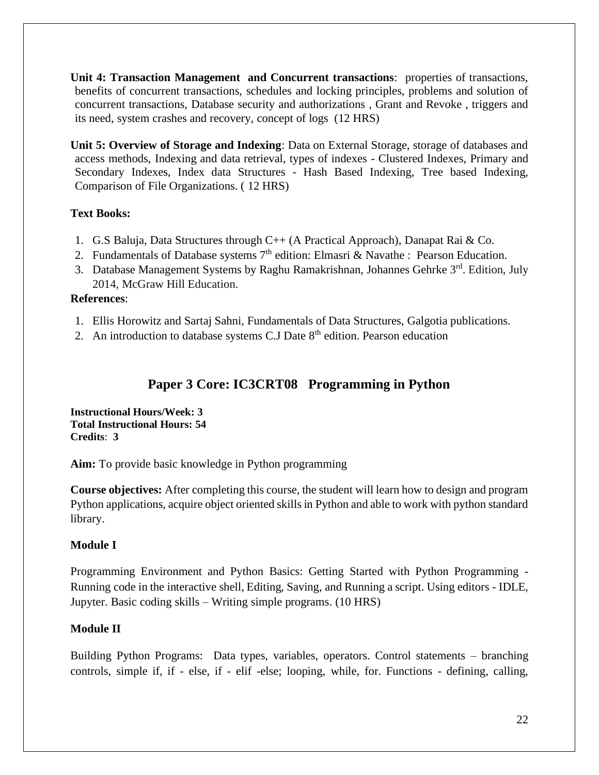**Unit 4: Transaction Management and Concurrent transactions**: properties of transactions, benefits of concurrent transactions, schedules and locking principles, problems and solution of concurrent transactions, Database security and authorizations , Grant and Revoke , triggers and its need, system crashes and recovery, concept of logs (12 HRS)

**Unit 5: Overview of Storage and Indexing**: Data on External Storage, storage of databases and access methods, Indexing and data retrieval, types of indexes - Clustered Indexes, Primary and Secondary Indexes, Index data Structures - Hash Based Indexing, Tree based Indexing, Comparison of File Organizations. ( 12 HRS)

## **Text Books:**

- 1. G.S Baluja, Data Structures through C++ (A Practical Approach), Danapat Rai & Co.
- 2. Fundamentals of Database systems  $7<sup>th</sup>$  edition: Elmasri & Navathe : Pearson Education.
- 3. Database Management Systems by Raghu [Ramakrishnan,](https://www.amazon.in/s/ref=dp_byline_sr_book_1?ie=UTF8&field-author=Raghu+Ramakrishnan&search-alias=stripbooks) [Johannes](https://www.amazon.in/s/ref=dp_byline_sr_book_2?ie=UTF8&field-author=Johannes+Gehrke&search-alias=stripbooks) Gehrke 3rd. Edition, July 2014, McGraw Hill Education.

## **References**:

- 1. Ellis Horowitz and Sartaj Sahni, Fundamentals of Data Structures, Galgotia publications.
- 2. An introduction to database systems C.J Date  $8<sup>th</sup>$  edition. Pearson education

# **Paper 3 Core: IC3CRT08 Programming in Python**

**Instructional Hours/Week: 3 Total Instructional Hours: 54 Credits**: **3**

**Aim:** To provide basic knowledge in Python programming

**Course objectives:** After completing this course, the student will learn how to design and program Python applications, acquire object oriented skills in Python and able to work with python standard library.

## **Module I**

Programming Environment and Python Basics: Getting Started with Python Programming - Running code in the interactive shell, Editing, Saving, and Running a script. Using editors - IDLE, Jupyter. Basic coding skills – Writing simple programs. (10 HRS)

## **Module II**

Building Python Programs: Data types, variables, operators. Control statements – branching controls, simple if, if - else, if - elif -else; looping, while, for. Functions - defining, calling,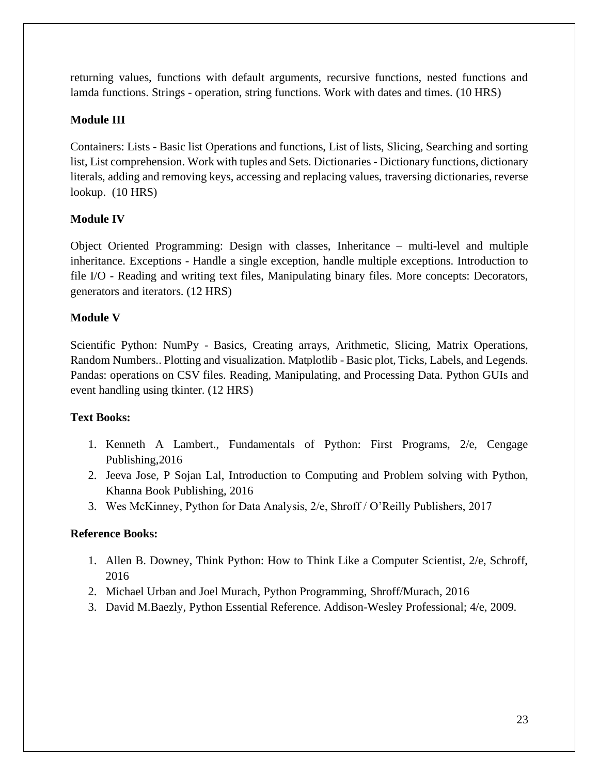returning values, functions with default arguments, recursive functions, nested functions and lamda functions. Strings - operation, string functions. Work with dates and times. (10 HRS)

## **Module III**

Containers: Lists - Basic list Operations and functions, List of lists, Slicing, Searching and sorting list, List comprehension. Work with tuples and Sets. Dictionaries - Dictionary functions, dictionary literals, adding and removing keys, accessing and replacing values, traversing dictionaries, reverse lookup. (10 HRS)

## **Module IV**

Object Oriented Programming: Design with classes, Inheritance – multi-level and multiple inheritance. Exceptions - Handle a single exception, handle multiple exceptions. Introduction to file I/O - Reading and writing text files, Manipulating binary files. More concepts: Decorators, generators and iterators. (12 HRS)

## **Module V**

Scientific Python: NumPy - Basics, Creating arrays, Arithmetic, Slicing, Matrix Operations, Random Numbers.. Plotting and visualization. Matplotlib - Basic plot, Ticks, Labels, and Legends. Pandas: operations on CSV files. Reading, Manipulating, and Processing Data. Python GUIs and event handling using tkinter. (12 HRS)

## **Text Books:**

- 1. Kenneth A Lambert., Fundamentals of Python: First Programs, 2/e, Cengage Publishing,2016
- 2. Jeeva Jose, P Sojan Lal, Introduction to Computing and Problem solving with Python, Khanna Book Publishing, 2016
- 3. Wes McKinney, Python for Data Analysis, 2/e, Shroff / O'Reilly Publishers, 2017

## **Reference Books:**

- 1. Allen B. Downey, Think Python: How to Think Like a Computer Scientist, 2/e, Schroff, 2016
- 2. Michael Urban and Joel Murach, Python Programming, Shroff/Murach, 2016
- 3. David M.Baezly, Python Essential Reference. Addison-Wesley Professional; 4/e, 2009.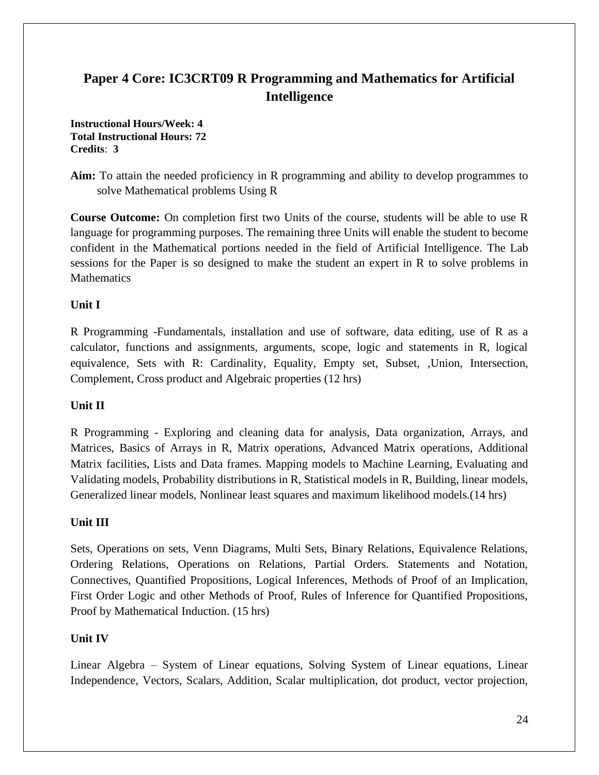# **Paper 4 Core: IC3CRT09 R Programming and Mathematics for Artificial Intelligence**

**Instructional Hours/Week: 4 Total Instructional Hours: 72 Credits**: **3**

**Aim:** To attain the needed proficiency in R programming and ability to develop programmes to solve Mathematical problems Using R

**Course Outcome:** On completion first two Units of the course, students will be able to use R language for programming purposes. The remaining three Units will enable the student to become confident in the Mathematical portions needed in the field of Artificial Intelligence. The Lab sessions for the Paper is so designed to make the student an expert in R to solve problems in **Mathematics** 

## **Unit I**

R Programming -Fundamentals, installation and use of software, data editing, use of R as a calculator, functions and assignments, arguments, scope, logic and statements in R, logical equivalence, Sets with R: Cardinality, Equality, Empty set, Subset, ,Union, Intersection, Complement, Cross product and Algebraic properties (12 hrs)

## **Unit II**

R Programming - Exploring and cleaning data for analysis, Data organization, Arrays, and Matrices, Basics of Arrays in R, Matrix operations, Advanced Matrix operations, Additional Matrix facilities, Lists and Data frames. Mapping models to Machine Learning, Evaluating and Validating models, Probability distributions in R, Statistical models in R, Building, linear models, Generalized linear models, Nonlinear least squares and maximum likelihood models.(14 hrs)

## **Unit III**

Sets, Operations on sets, Venn Diagrams, Multi Sets, Binary Relations, Equivalence Relations, Ordering Relations, Operations on Relations, Partial Orders. Statements and Notation, Connectives, Quantified Propositions, Logical Inferences, Methods of Proof of an Implication, First Order Logic and other Methods of Proof, Rules of Inference for Quantified Propositions, Proof by Mathematical Induction. (15 hrs)

## **Unit IV**

Linear Algebra – System of Linear equations, Solving System of Linear equations, Linear Independence, Vectors, Scalars, Addition, Scalar multiplication, dot product, vector projection,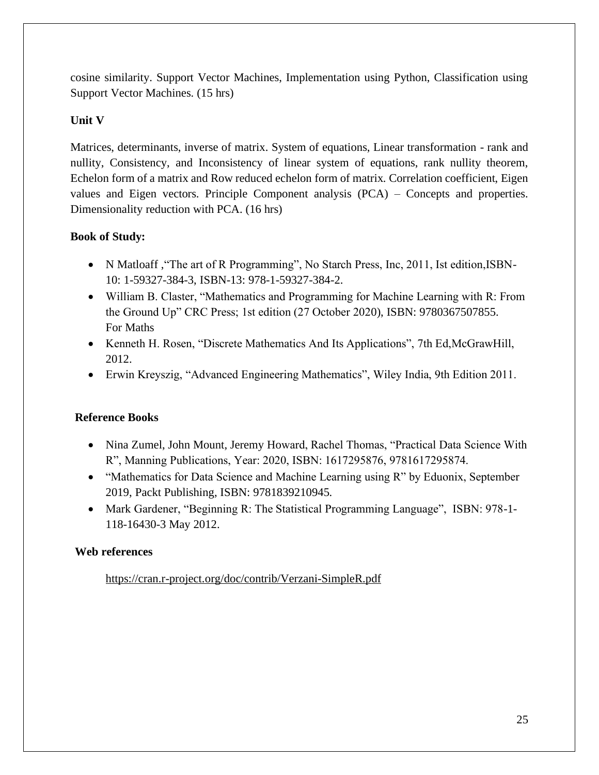cosine similarity. Support Vector Machines, Implementation using Python, Classification using Support Vector Machines. (15 hrs)

## **Unit V**

Matrices, determinants, inverse of matrix. System of equations, Linear transformation - rank and nullity, Consistency, and Inconsistency of linear system of equations, rank nullity theorem, Echelon form of a matrix and Row reduced echelon form of matrix. Correlation coefficient, Eigen values and Eigen vectors. Principle Component analysis (PCA) – Concepts and properties. Dimensionality reduction with PCA. (16 hrs)

## **Book of Study:**

- N Matloaff , "The art of R Programming", No Starch Press, Inc, 2011, Ist edition, ISBN-10: 1-59327-384-3, ISBN-13: 978-1-59327-384-2.
- William B. Claster, "Mathematics and Programming for Machine Learning with R: From the Ground Up" CRC Press; 1st edition (27 October 2020), ISBN: 9780367507855. For Maths
- Kenneth H. Rosen, "Discrete Mathematics And Its Applications", 7th Ed,McGrawHill, 2012.
- Erwin Kreyszig, "Advanced Engineering Mathematics", Wiley India, 9th Edition 2011.

## **Reference Books**

- Nina Zumel, John Mount, Jeremy Howard, Rachel Thomas, "Practical Data Science With R", Manning Publications, Year: 2020, ISBN: 1617295876, 9781617295874.
- "Mathematics for Data Science and Machine Learning using R" by Eduonix, September 2019, Packt Publishing, ISBN: 9781839210945.
- Mark Gardener, "Beginning R: The Statistical Programming Language", ISBN: 978-1-118-16430-3 May 2012.

## **Web references**

<https://cran.r-project.org/doc/contrib/Verzani-SimpleR.pdf>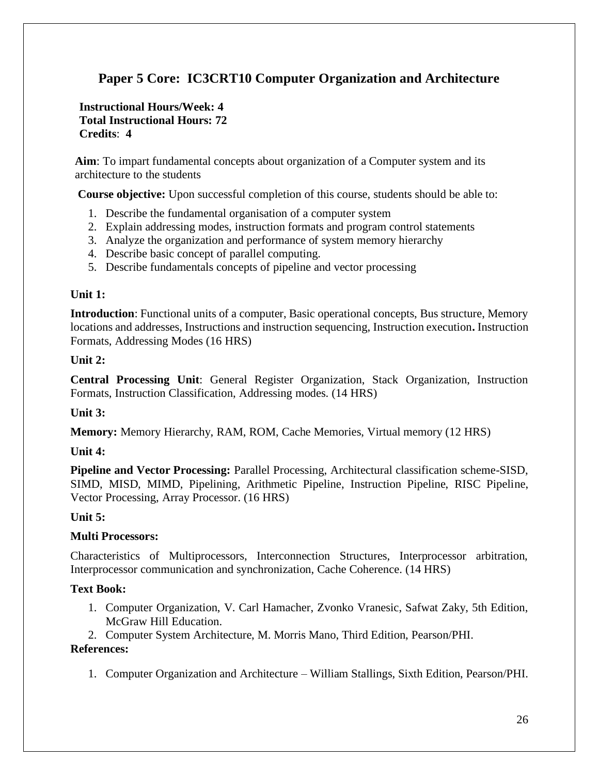# **Paper 5 Core: IC3CRT10 Computer Organization and Architecture**

### **Instructional Hours/Week: 4 Total Instructional Hours: 72 Credits**: **4**

**Aim**: To impart fundamental concepts about organization of a Computer system and its architecture to the students

**Course objective:** Upon successful completion of this course, students should be able to:

- 1. Describe the fundamental organisation of a computer system
- 2. Explain addressing modes, instruction formats and program control statements
- 3. Analyze the organization and performance of system memory hierarchy
- 4. Describe basic concept of parallel computing.
- 5. Describe fundamentals concepts of pipeline and vector processing

#### **Unit 1:**

**Introduction**: Functional units of a computer, Basic operational concepts, Bus structure, Memory locations and addresses, Instructions and instruction sequencing, Instruction execution**.** Instruction Formats, Addressing Modes (16 HRS)

#### **Unit 2:**

**Central Processing Unit**: General Register Organization, Stack Organization, Instruction Formats, Instruction Classification, Addressing modes. (14 HRS)

#### **Unit 3:**

**Memory:** Memory Hierarchy, RAM, ROM, Cache Memories, Virtual memory (12 HRS)

#### **Unit 4:**

**Pipeline and Vector Processing:** Parallel Processing, Architectural classification scheme-SISD, SIMD, MISD, MIMD, Pipelining, Arithmetic Pipeline, Instruction Pipeline, RISC Pipeline, Vector Processing, Array Processor. (16 HRS)

#### **Unit 5:**

#### **Multi Processors:**

Characteristics of Multiprocessors, Interconnection Structures, Interprocessor arbitration, Interprocessor communication and synchronization, Cache Coherence. (14 HRS)

#### **Text Book:**

- 1. Computer Organization, V. Carl Hamacher, Zvonko Vranesic, Safwat Zaky, 5th Edition, McGraw Hill Education.
- 2. Computer System Architecture, M. Morris Mano, Third Edition, Pearson/PHI.

#### **References:**

1. Computer Organization and Architecture – William Stallings, Sixth Edition, Pearson/PHI.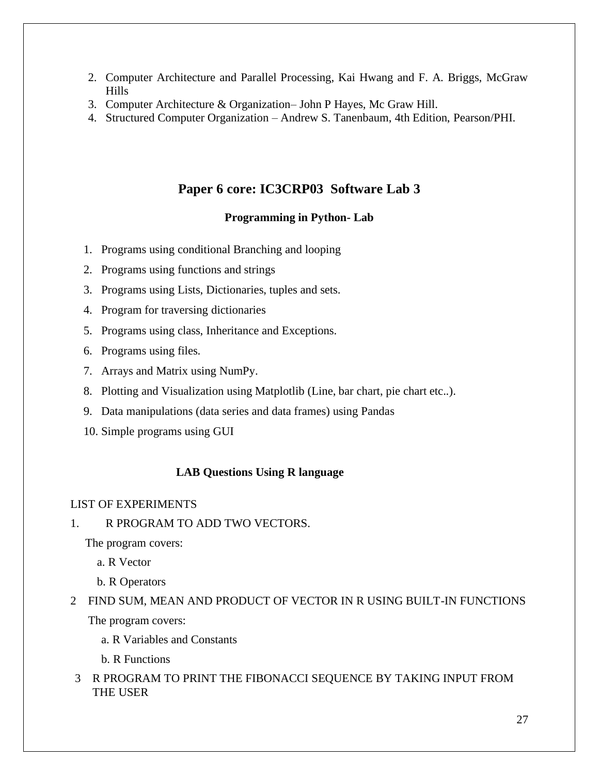- 2. Computer Architecture and Parallel Processing, Kai Hwang and F. A. Briggs, McGraw Hills
- 3. Computer Architecture & Organization– John P Hayes, Mc Graw Hill.
- 4. Structured Computer Organization Andrew S. Tanenbaum, 4th Edition, Pearson/PHI.

## **Paper 6 core: IC3CRP03 Software Lab 3**

### **Programming in Python- Lab**

- 1. Programs using conditional Branching and looping
- 2. Programs using functions and strings
- 3. Programs using Lists, Dictionaries, tuples and sets.
- 4. Program for traversing dictionaries
- 5. Programs using class, Inheritance and Exceptions.
- 6. Programs using files.
- 7. Arrays and Matrix using NumPy.
- 8. Plotting and Visualization using Matplotlib (Line, bar chart, pie chart etc..).
- 9. Data manipulations (data series and data frames) using Pandas
- 10. Simple programs using GUI

#### **LAB Questions Using R language**

#### LIST OF EXPERIMENTS

1. R PROGRAM TO ADD TWO VECTORS.

The program covers:

a. R Vector

b. R Operators

# 2 FIND SUM, MEAN AND PRODUCT OF VECTOR IN R USING BUILT-IN FUNCTIONS The program covers:

a. R Variables and Constants

b. R Functions

3 R PROGRAM TO PRINT THE FIBONACCI SEQUENCE BY TAKING INPUT FROM THE USER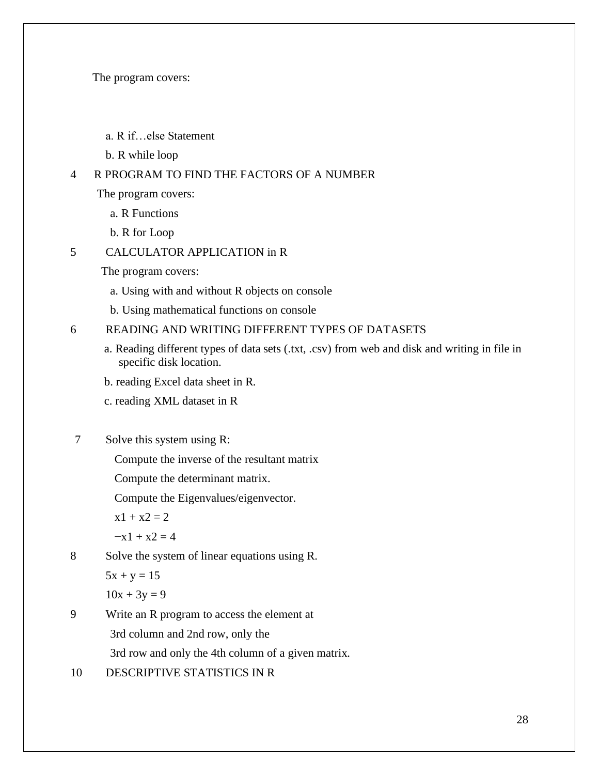The program covers:

- a. R if…else Statement
- b. R while loop

### 4 R PROGRAM TO FIND THE FACTORS OF A NUMBER

The program covers:

- a. R Functions
- b. R for Loop

## 5 CALCULATOR APPLICATION in R

The program covers:

- a. Using with and without R objects on console
- b. Using mathematical functions on console

### 6 READING AND WRITING DIFFERENT TYPES OF DATASETS

- a. Reading different types of data sets (.txt, .csv) from web and disk and writing in file in specific disk location.
- b. reading Excel data sheet in R.
- c. reading XML dataset in R

## 7 Solve this system using R:

Compute the inverse of the resultant matrix

Compute the determinant matrix.

Compute the Eigenvalues/eigenvector.

 $x1 + x2 = 2$ 

 $-x1 + x2 = 4$ 

8 Solve the system of linear equations using R.

 $5x + y = 15$ 

 $10x + 3y = 9$ 

9 Write an R program to access the element at 3rd column and 2nd row, only the

3rd row and only the 4th column of a given matrix.

10 DESCRIPTIVE STATISTICS IN R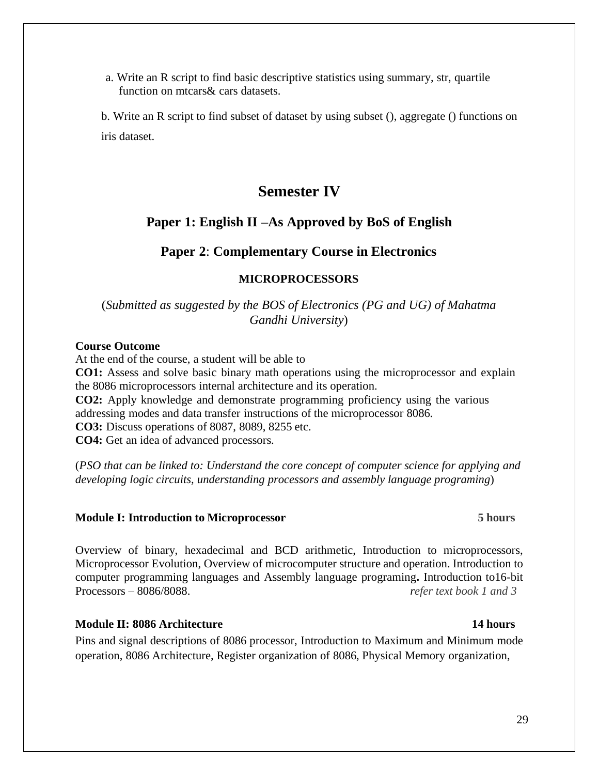a. Write an R script to find basic descriptive statistics using summary, str, quartile function on mtcars& cars datasets.

b. Write an R script to find subset of dataset by using subset (), aggregate () functions on iris dataset.

# **Semester IV**

## **Paper 1: English II –As Approved by BoS of English**

### **Paper 2**: **Complementary Course in Electronics**

#### **MICROPROCESSORS**

#### (*Submitted as suggested by the BOS of Electronics (PG and UG) of Mahatma Gandhi University*)

#### **Course Outcome**

At the end of the course, a student will be able to **CO1:** Assess and solve basic binary math operations using the microprocessor and explain the 8086 microprocessors internal architecture and its operation. **CO2:** Apply knowledge and demonstrate programming proficiency using the various addressing modes and data transfer instructions of the microprocessor 8086. **CO3:** Discuss operations of 8087, 8089, 8255 etc. **CO4:** Get an idea of advanced processors.

(*PSO that can be linked to: Understand the core concept of computer science for applying and developing logic circuits, understanding processors and assembly language programing*)

#### **Module I: Introduction to Microprocessor 5 hours**

Overview of binary, hexadecimal and BCD arithmetic, Introduction to microprocessors, Microprocessor Evolution, Overview of microcomputer structure and operation. Introduction to computer programming languages and Assembly language programing**.** Introduction to16-bit Processors – 8086/8088. *refer text book 1 and 3*

#### **Module II: 8086 Architecture 14 hours**

Pins and signal descriptions of 8086 processor, Introduction to Maximum and Minimum mode operation, 8086 Architecture, Register organization of 8086, Physical Memory organization,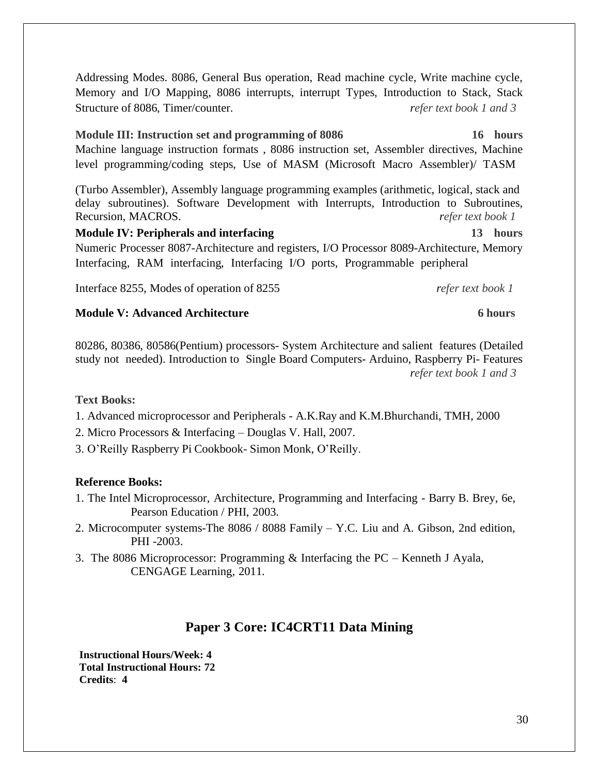Addressing Modes. 8086, General Bus operation, Read machine cycle, Write machine cycle, Memory and I/O Mapping, 8086 interrupts, interrupt Types, Introduction to Stack, Stack Structure of 8086, Timer/counter. *refer text book 1 and 3*

## **Module III: Instruction set and programming of 8086 16 hours**

Machine language instruction formats , 8086 instruction set, Assembler directives, Machine level programming/coding steps, Use of MASM (Microsoft Macro Assembler)/ TASM

(Turbo Assembler), Assembly language programming examples (arithmetic, logical, stack and delay subroutines). Software Development with Interrupts, Introduction to Subroutines, Recursion, MACROS. *refer text book 1*

**Module IV: Peripherals and interfacing 13 hours** Numeric Processer 8087-Architecture and registers, I/O Processor 8089-Architecture, Memory Interfacing, RAM interfacing, Interfacing I/O ports, Programmable peripheral

Interface 8255, Modes of operation of 8255 *refer text book 1*

#### **Module V: Advanced Architecture 6 hours**

80286, 80386, 80586(Pentium) processors- System Architecture and salient features (Detailed study not needed). Introduction to Single Board Computers- Arduino, Raspberry Pi- Features *refer text book 1 and 3*

#### **Text Books:**

- 1. Advanced microprocessor and Peripherals A.K.Ray and K.M.Bhurchandi, TMH, 2000
- 2. Micro Processors & Interfacing Douglas V. Hall, 2007.
- 3. O'Reilly Raspberry Pi Cookbook- Simon Monk, O'Reilly.

#### **Reference Books:**

- 1. The Intel Microprocessor, Architecture, Programming and Interfacing Barry B. Brey, 6e, Pearson Education / PHI, 2003.
- 2. Microcomputer systems-The 8086 / 8088 Family Y.C. Liu and A. Gibson, 2nd edition, PHI -2003.
- 3. The 8086 Microprocessor: Programming & Interfacing the PC Kenneth J Ayala, CENGAGE Learning, 2011.

## **Paper 3 Core: IC4CRT11 Data Mining**

**Instructional Hours/Week: 4 Total Instructional Hours: 72 Credits**: **4**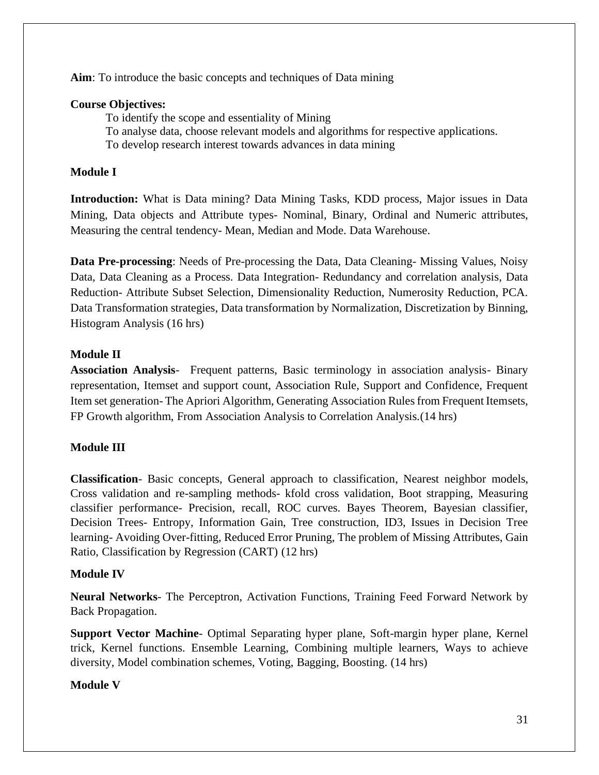**Aim**: To introduce the basic concepts and techniques of Data mining

## **Course Objectives:**

To identify the scope and essentiality of Mining

To analyse data, choose relevant models and algorithms for respective applications.

To develop research interest towards advances in data mining

## **Module I**

**Introduction:** What is Data mining? Data Mining Tasks, KDD process, Major issues in Data Mining, Data objects and Attribute types- Nominal, Binary, Ordinal and Numeric attributes, Measuring the central tendency- Mean, Median and Mode. Data Warehouse.

**Data Pre-processing**: Needs of Pre-processing the Data, Data Cleaning- Missing Values, Noisy Data, Data Cleaning as a Process. Data Integration- Redundancy and correlation analysis, Data Reduction- Attribute Subset Selection, Dimensionality Reduction, Numerosity Reduction, PCA. Data Transformation strategies, Data transformation by Normalization, Discretization by Binning, Histogram Analysis (16 hrs)

## **Module II**

**Association Analysis**- Frequent patterns, Basic terminology in association analysis- Binary representation, Itemset and support count, Association Rule, Support and Confidence, Frequent Item set generation- The Apriori Algorithm, Generating Association Rules from Frequent Itemsets, FP Growth algorithm, From Association Analysis to Correlation Analysis.(14 hrs)

## **Module III**

**Classification**- Basic concepts, General approach to classification, Nearest neighbor models, Cross validation and re-sampling methods- kfold cross validation, Boot strapping, Measuring classifier performance- Precision, recall, ROC curves. Bayes Theorem, Bayesian classifier, Decision Trees- Entropy, Information Gain, Tree construction, ID3, Issues in Decision Tree learning- Avoiding Over-fitting, Reduced Error Pruning, The problem of Missing Attributes, Gain Ratio, Classification by Regression (CART) (12 hrs)

## **Module IV**

**Neural Networks**- The Perceptron, Activation Functions, Training Feed Forward Network by Back Propagation.

**Support Vector Machine**- Optimal Separating hyper plane, Soft-margin hyper plane, Kernel trick, Kernel functions. Ensemble Learning, Combining multiple learners, Ways to achieve diversity, Model combination schemes, Voting, Bagging, Boosting. (14 hrs)

## **Module V**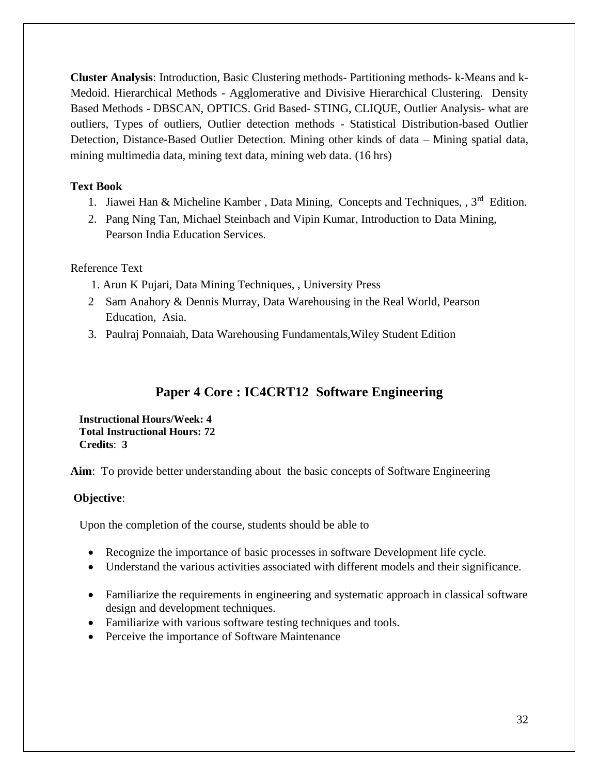**Cluster Analysis**: Introduction, Basic Clustering methods- Partitioning methods- k-Means and k-Medoid. Hierarchical Methods - Agglomerative and Divisive Hierarchical Clustering. Density Based Methods - DBSCAN, OPTICS. Grid Based- STING, CLIQUE, Outlier Analysis- what are outliers, Types of outliers, Outlier detection methods - Statistical Distribution-based Outlier Detection, Distance-Based Outlier Detection. Mining other kinds of data – Mining spatial data, mining multimedia data, mining text data, mining web data. (16 hrs)

### **Text Book**

- 1. Jiawei Han & Micheline Kamber, Data Mining, Concepts and Techniques, , 3<sup>rd</sup> Edition.
- 2. Pang Ning Tan, Michael Steinbach and Vipin Kumar, Introduction to Data Mining, Pearson India Education Services.

#### Reference Text

- 1. Arun K Pujari, Data Mining Techniques, , University Press
- 2 Sam Anahory & Dennis Murray, Data Warehousing in the Real World, Pearson Education, Asia.
- 3. Paulraj Ponnaiah, Data Warehousing Fundamentals,Wiley Student Edition

# **Paper 4 Core : IC4CRT12 Software Engineering**

**Instructional Hours/Week: 4 Total Instructional Hours: 72 Credits**: **3**

**Aim**: To provide better understanding about the basic concepts of Software Engineering

#### **Objective**:

Upon the completion of the course, students should be able to

- Recognize the importance of basic processes in software Development life cycle.
- Understand the various activities associated with different models and their significance.
- Familiarize the requirements in engineering and systematic approach in classical software design and development techniques.
- Familiarize with various software testing techniques and tools.
- Perceive the importance of Software Maintenance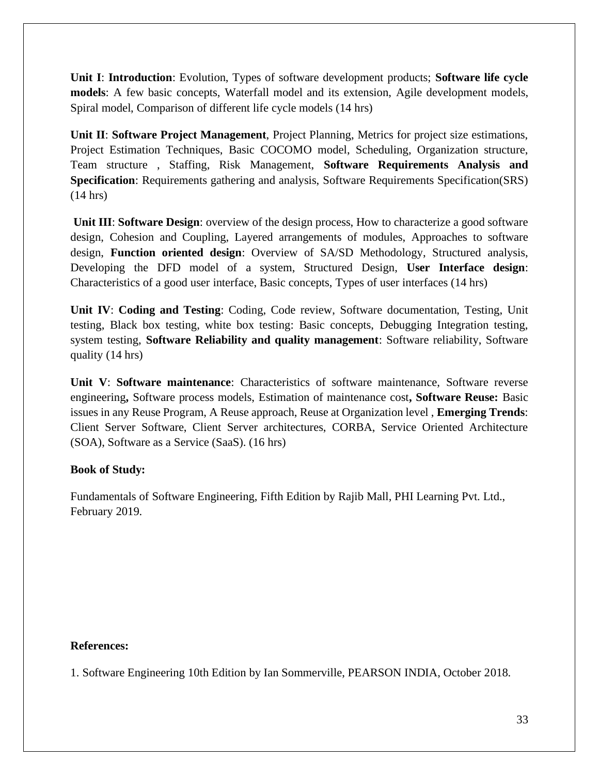**Unit I**: **Introduction**: Evolution, Types of software development products; **Software life cycle models**: A few basic concepts, Waterfall model and its extension, Agile development models, Spiral model, Comparison of different life cycle models (14 hrs)

**Unit II**: **Software Project Management**, Project Planning, Metrics for project size estimations, Project Estimation Techniques, Basic COCOMO model, Scheduling, Organization structure, Team structure , Staffing, Risk Management, **Software Requirements Analysis and Specification**: Requirements gathering and analysis, Software Requirements Specification(SRS) (14 hrs)

**Unit III**: **Software Design**: overview of the design process, How to characterize a good software design, Cohesion and Coupling, Layered arrangements of modules, Approaches to software design, **Function oriented design**: Overview of SA/SD Methodology, Structured analysis, Developing the DFD model of a system, Structured Design, **User Interface design**: Characteristics of a good user interface, Basic concepts, Types of user interfaces (14 hrs)

**Unit IV**: **Coding and Testing**: Coding, Code review, Software documentation, Testing, Unit testing, Black box testing, white box testing: Basic concepts, Debugging Integration testing, system testing, **Software Reliability and quality management**: Software reliability, Software quality (14 hrs)

**Unit V**: **Software maintenance**: Characteristics of software maintenance, Software reverse engineering**,** Software process models, Estimation of maintenance cost**, Software Reuse:** Basic issues in any Reuse Program, A Reuse approach, Reuse at Organization level , **Emerging Trends**: Client Server Software, Client Server architectures, CORBA, Service Oriented Architecture (SOA), Software as a Service (SaaS). (16 hrs)

## **Book of Study:**

Fundamentals of Software Engineering, Fifth Edition by Rajib Mall, PHI Learning Pvt. Ltd., February 2019.

#### **References:**

1. Software Engineering 10th Edition by Ian Sommerville, PEARSON INDIA, October 2018.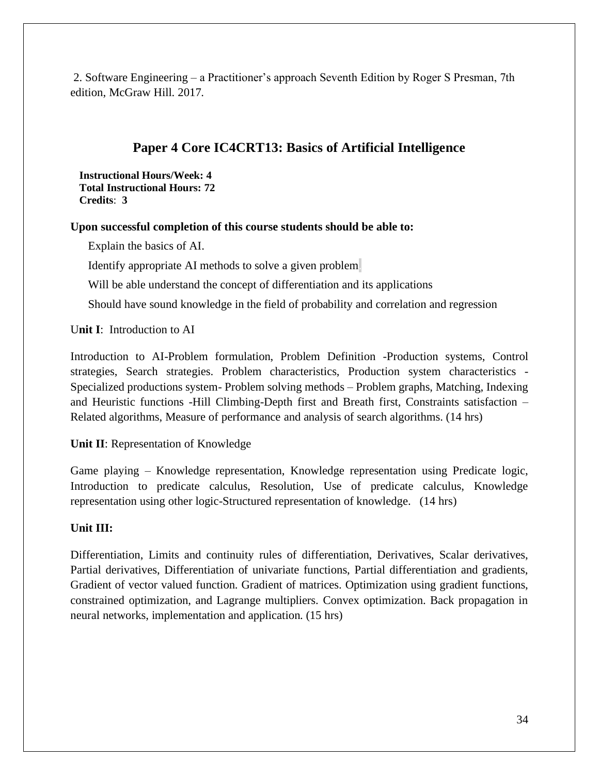2. Software Engineering – a Practitioner's approach Seventh Edition by Roger S Presman, 7th edition, McGraw Hill. 2017.

# **Paper 4 Core IC4CRT13: Basics of Artificial Intelligence**

**Instructional Hours/Week: 4 Total Instructional Hours: 72 Credits**: **3**

### **Upon successful completion of this course students should be able to:**

Explain the basics of AI.

Identify appropriate AI methods to solve a given problem.

Will be able understand the concept of differentiation and its applications

Should have sound knowledge in the field of probability and correlation and regression

U**nit I**: Introduction to AI

Introduction to AI-Problem formulation, Problem Definition -Production systems, Control strategies, Search strategies. Problem characteristics, Production system characteristics - Specialized productions system- Problem solving methods – Problem graphs, Matching, Indexing and Heuristic functions -Hill Climbing-Depth first and Breath first, Constraints satisfaction – Related algorithms, Measure of performance and analysis of search algorithms. (14 hrs)

**Unit II**: Representation of Knowledge

Game playing – Knowledge representation, Knowledge representation using Predicate logic, Introduction to predicate calculus, Resolution, Use of predicate calculus, Knowledge representation using other logic-Structured representation of knowledge. (14 hrs)

## **Unit III:**

Differentiation, Limits and continuity rules of differentiation, Derivatives, Scalar derivatives, Partial derivatives, Differentiation of univariate functions, Partial differentiation and gradients, Gradient of vector valued function. Gradient of matrices. Optimization using gradient functions, constrained optimization, and Lagrange multipliers. Convex optimization. Back propagation in neural networks, implementation and application. (15 hrs)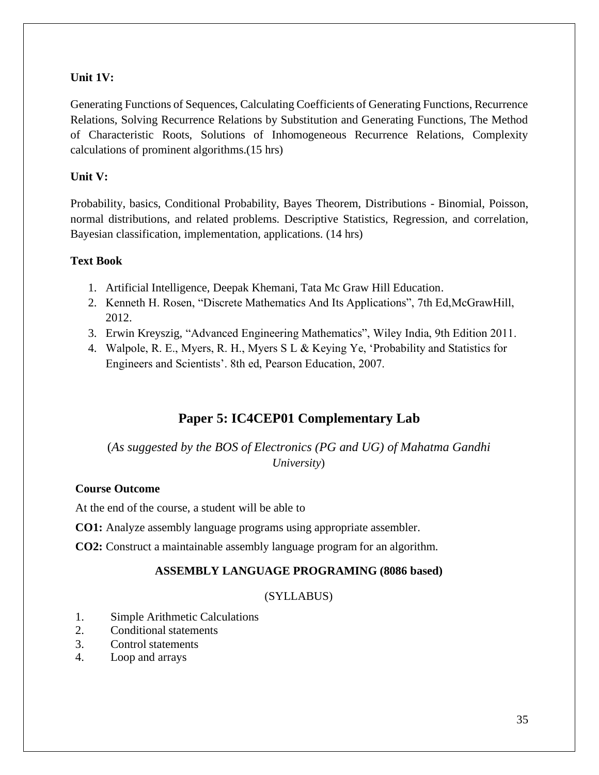## **Unit 1V:**

Generating Functions of Sequences, Calculating Coefficients of Generating Functions, Recurrence Relations, Solving Recurrence Relations by Substitution and Generating Functions, The Method of Characteristic Roots, Solutions of Inhomogeneous Recurrence Relations, Complexity calculations of prominent algorithms.(15 hrs)

## **Unit V:**

Probability, basics, Conditional Probability, Bayes Theorem, Distributions - Binomial, Poisson, normal distributions, and related problems. Descriptive Statistics, Regression, and correlation, Bayesian classification, implementation, applications. (14 hrs)

## **Text Book**

- 1. Artificial Intelligence, Deepak Khemani, Tata Mc Graw Hill Education.
- 2. Kenneth H. Rosen, "Discrete Mathematics And Its Applications", 7th Ed,McGrawHill, 2012.
- 3. Erwin Kreyszig, "Advanced Engineering Mathematics", Wiley India, 9th Edition 2011.
- 4. Walpole, R. E., Myers, R. H., Myers S L & Keying Ye, 'Probability and Statistics for Engineers and Scientists'. 8th ed, Pearson Education, 2007.

# **Paper 5: IC4CEP01 Complementary Lab**

## (*As suggested by the BOS of Electronics (PG and UG) of Mahatma Gandhi University*)

## **Course Outcome**

At the end of the course, a student will be able to

- **CO1:** Analyze assembly language programs using appropriate assembler.
- **CO2:** Construct a maintainable assembly language program for an algorithm.

## **ASSEMBLY LANGUAGE PROGRAMING (8086 based)**

## (SYLLABUS)

- 1. Simple Arithmetic Calculations
- 2. Conditional statements
- 3. Control statements
- 4. Loop and arrays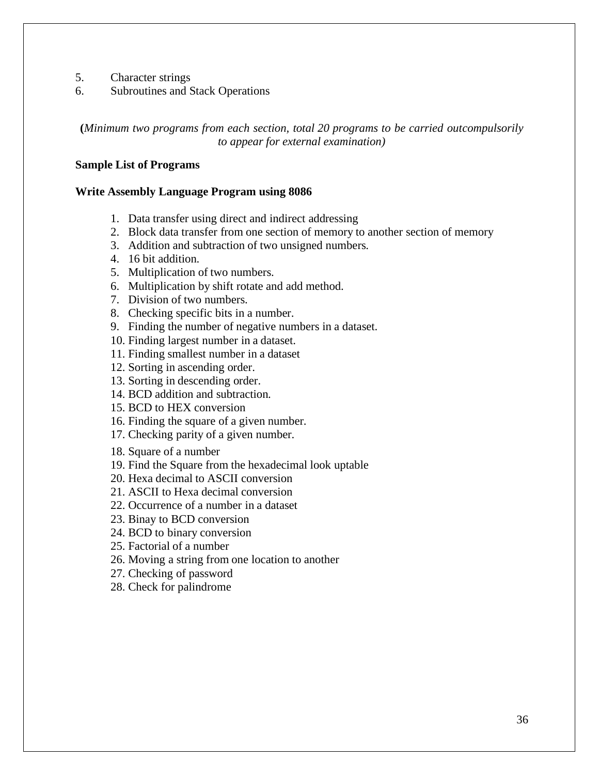- 5. Character strings
- 6. Subroutines and Stack Operations

**(***Minimum two programs from each section, total 20 programs to be carried outcompulsorily to appear for external examination)*

#### **Sample List of Programs**

#### **Write Assembly Language Program using 8086**

- 1. Data transfer using direct and indirect addressing
- 2. Block data transfer from one section of memory to another section of memory
- 3. Addition and subtraction of two unsigned numbers.
- 4. 16 bit addition.
- 5. Multiplication of two numbers.
- 6. Multiplication by shift rotate and add method.
- 7. Division of two numbers.
- 8. Checking specific bits in a number.
- 9. Finding the number of negative numbers in a dataset.
- 10. Finding largest number in a dataset.
- 11. Finding smallest number in a dataset
- 12. Sorting in ascending order.
- 13. Sorting in descending order.
- 14. BCD addition and subtraction.
- 15. BCD to HEX conversion
- 16. Finding the square of a given number.
- 17. Checking parity of a given number.
- 18. Square of a number
- 19. Find the Square from the hexadecimal look uptable
- 20. Hexa decimal to ASCII conversion
- 21. ASCII to Hexa decimal conversion
- 22. Occurrence of a number in a dataset
- 23. Binay to BCD conversion
- 24. BCD to binary conversion
- 25. Factorial of a number
- 26. Moving a string from one location to another
- 27. Checking of password
- 28. Check for palindrome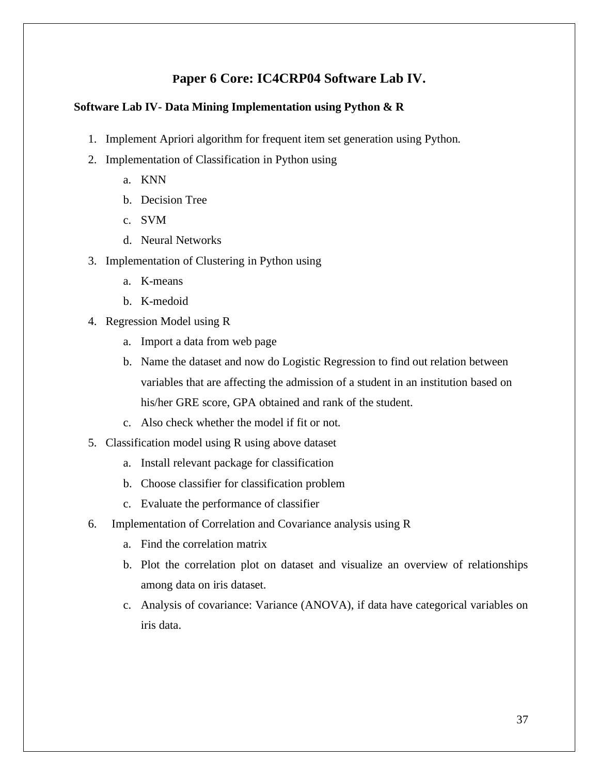## **Paper 6 Core: IC4CRP04 Software Lab IV.**

#### **Software Lab IV- Data Mining Implementation using Python & R**

- 1. Implement Apriori algorithm for frequent item set generation using Python.
- 2. Implementation of Classification in Python using
	- a. KNN
	- b. Decision Tree
	- c. SVM
	- d. Neural Networks
- 3. Implementation of Clustering in Python using
	- a. K-means
	- b. K-medoid
- 4. Regression Model using R
	- a. Import a data from web page
	- b. Name the dataset and now do Logistic Regression to find out relation between variables that are affecting the admission of a student in an institution based on his/her GRE score, GPA obtained and rank of the student.
	- c. Also check whether the model if fit or not.
- 5. Classification model using R using above dataset
	- a. Install relevant package for classification
	- b. Choose classifier for classification problem
	- c. Evaluate the performance of classifier
- 6. Implementation of Correlation and Covariance analysis using R
	- a. Find the correlation matrix
	- b. Plot the correlation plot on dataset and visualize an overview of relationships among data on iris dataset.
	- c. Analysis of covariance: Variance (ANOVA), if data have categorical variables on iris data.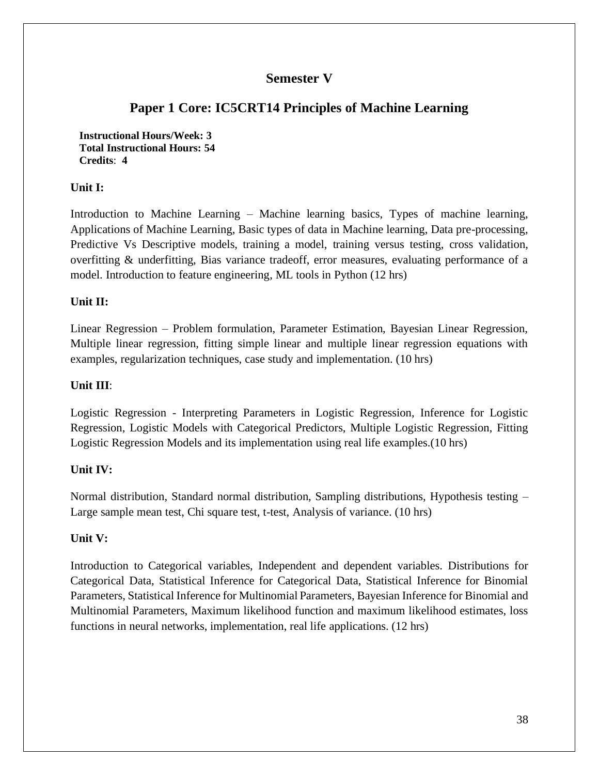## **Semester V**

# **Paper 1 Core: IC5CRT14 Principles of Machine Learning**

**Instructional Hours/Week: 3 Total Instructional Hours: 54 Credits**: **4**

#### **Unit I:**

Introduction to Machine Learning – Machine learning basics, Types of machine learning, Applications of Machine Learning, Basic types of data in Machine learning, Data pre-processing, Predictive Vs Descriptive models, training a model, training versus testing, cross validation, overfitting & underfitting, Bias variance tradeoff, error measures, evaluating performance of a model. Introduction to feature engineering, ML tools in Python (12 hrs)

### **Unit II:**

Linear Regression – Problem formulation, Parameter Estimation, Bayesian Linear Regression, Multiple linear regression, fitting simple linear and multiple linear regression equations with examples, regularization techniques, case study and implementation. (10 hrs)

#### **Unit III**:

Logistic Regression - Interpreting Parameters in Logistic Regression, Inference for Logistic Regression, Logistic Models with Categorical Predictors, Multiple Logistic Regression, Fitting Logistic Regression Models and its implementation using real life examples.(10 hrs)

#### **Unit IV:**

Normal distribution, Standard normal distribution, Sampling distributions, Hypothesis testing – Large sample mean test, Chi square test, t-test, Analysis of variance. (10 hrs)

#### **Unit V:**

Introduction to Categorical variables, Independent and dependent variables. Distributions for Categorical Data, Statistical Inference for Categorical Data, Statistical Inference for Binomial Parameters, Statistical Inference for Multinomial Parameters, Bayesian Inference for Binomial and Multinomial Parameters, Maximum likelihood function and maximum likelihood estimates, loss functions in neural networks, implementation, real life applications. (12 hrs)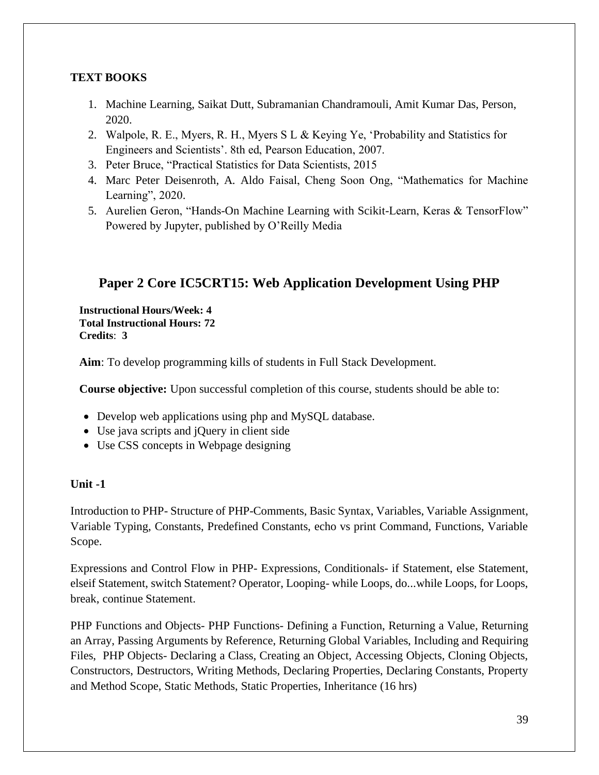## **TEXT BOOKS**

- 1. Machine Learning, Saikat Dutt, Subramanian Chandramouli, Amit Kumar Das, Person, 2020.
- 2. Walpole, R. E., Myers, R. H., Myers S L & Keying Ye, 'Probability and Statistics for Engineers and Scientists'. 8th ed, Pearson Education, 2007.
- 3. Peter Bruce, "Practical Statistics for Data Scientists, 2015
- 4. Marc Peter Deisenroth, A. Aldo Faisal, Cheng Soon Ong, "Mathematics for Machine Learning", 2020.
- 5. Aurelien Geron, "Hands-On Machine Learning with Scikit-Learn, Keras & TensorFlow" Powered by Jupyter, published by O'Reilly Media

# **Paper 2 Core IC5CRT15: Web Application Development Using PHP**

**Instructional Hours/Week: 4 Total Instructional Hours: 72 Credits**: **3**

**Aim**: To develop programming kills of students in Full Stack Development.

**Course objective:** Upon successful completion of this course, students should be able to:

- Develop web applications using php and MySQL database.
- Use java scripts and jQuery in client side
- Use CSS concepts in Webpage designing

## **Unit -1**

Introduction to PHP- Structure of PHP-Comments, Basic Syntax, Variables, Variable Assignment, Variable Typing, Constants, Predefined Constants, echo vs print Command, Functions, Variable Scope.

Expressions and Control Flow in PHP- Expressions, Conditionals- if Statement, else Statement, elseif Statement, switch Statement? Operator, Looping- while Loops, do...while Loops, for Loops, break, continue Statement.

PHP Functions and Objects- PHP Functions- Defining a Function, Returning a Value, Returning an Array, Passing Arguments by Reference, Returning Global Variables, Including and Requiring Files, PHP Objects- Declaring a Class, Creating an Object, Accessing Objects, Cloning Objects, Constructors, Destructors, Writing Methods, Declaring Properties, Declaring Constants, Property and Method Scope, Static Methods, Static Properties, Inheritance (16 hrs)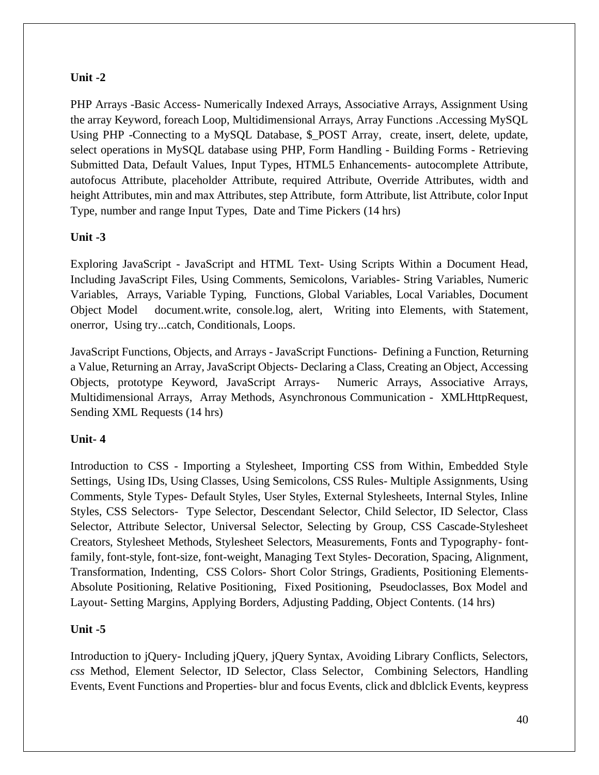#### **Unit -2**

PHP Arrays -Basic Access- Numerically Indexed Arrays, Associative Arrays, Assignment Using the array Keyword, foreach Loop, Multidimensional Arrays, Array Functions .Accessing MySQL Using PHP -Connecting to a MySQL Database, \$ POST Array, create, insert, delete, update, select operations in MySQL database using PHP, Form Handling - Building Forms - Retrieving Submitted Data, Default Values, Input Types, HTML5 Enhancements- autocomplete Attribute, autofocus Attribute, placeholder Attribute, required Attribute, Override Attributes, width and height Attributes, min and max Attributes, step Attribute, form Attribute, list Attribute, color Input Type, number and range Input Types, Date and Time Pickers (14 hrs)

### **Unit -3**

Exploring JavaScript - JavaScript and HTML Text- Using Scripts Within a Document Head, Including JavaScript Files, Using Comments, Semicolons, Variables- String Variables, Numeric Variables, Arrays, Variable Typing, Functions, Global Variables, Local Variables, Document Object Model document.write, console.log, alert, Writing into Elements, with Statement, onerror, Using try...catch, Conditionals, Loops.

JavaScript Functions, Objects, and Arrays - JavaScript Functions- Defining a Function, Returning a Value, Returning an Array, JavaScript Objects- Declaring a Class, Creating an Object, Accessing Objects, prototype Keyword, JavaScript Arrays- Numeric Arrays, Associative Arrays, Multidimensional Arrays, Array Methods, Asynchronous Communication - XMLHttpRequest, Sending XML Requests (14 hrs)

## **Unit- 4**

Introduction to CSS - Importing a Stylesheet, Importing CSS from Within, Embedded Style Settings, Using IDs, Using Classes, Using Semicolons, CSS Rules- Multiple Assignments, Using Comments, Style Types- Default Styles, User Styles, External Stylesheets, Internal Styles, Inline Styles, CSS Selectors- Type Selector, Descendant Selector, Child Selector, ID Selector, Class Selector, Attribute Selector, Universal Selector, Selecting by Group, CSS Cascade-Stylesheet Creators, Stylesheet Methods, Stylesheet Selectors, Measurements, Fonts and Typography- fontfamily, font-style, font-size, font-weight, Managing Text Styles- Decoration, Spacing, Alignment, Transformation, Indenting, CSS Colors- Short Color Strings, Gradients, Positioning Elements-Absolute Positioning, Relative Positioning, Fixed Positioning, Pseudoclasses, Box Model and Layout- Setting Margins, Applying Borders, Adjusting Padding, Object Contents. (14 hrs)

## **Unit -5**

Introduction to jQuery- Including jQuery, jQuery Syntax, Avoiding Library Conflicts, Selectors, *css* Method, Element Selector, ID Selector, Class Selector, Combining Selectors, Handling Events, Event Functions and Properties- blur and focus Events, click and dblclick Events, keypress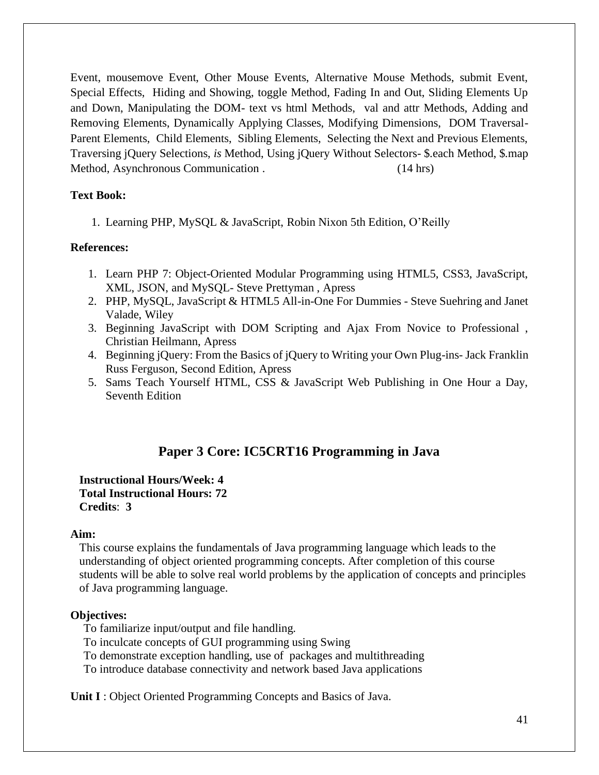Event, mousemove Event, Other Mouse Events, Alternative Mouse Methods, submit Event, Special Effects, Hiding and Showing, toggle Method, Fading In and Out, Sliding Elements Up and Down, Manipulating the DOM- text vs html Methods, val and attr Methods, Adding and Removing Elements, Dynamically Applying Classes, Modifying Dimensions, DOM Traversal-Parent Elements, Child Elements, Sibling Elements, Selecting the Next and Previous Elements, Traversing jQuery Selections, *is* Method, Using jQuery Without Selectors- \$.each Method, \$.map Method, Asynchronous Communication . (14 hrs)

### **Text Book:**

1. Learning PHP, MySQL & JavaScript, Robin Nixon 5th Edition, O'Reilly

### **References:**

- 1. Learn PHP 7: Object-Oriented Modular Programming using HTML5, CSS3, JavaScript, XML, JSON, and MySQL- Steve Prettyman , Apress
- 2. PHP, MySQL, JavaScript & HTML5 All-in-One For Dummies Steve Suehring and Janet Valade, Wiley
- 3. Beginning JavaScript with DOM Scripting and Ajax From Novice to Professional , Christian Heilmann, Apress
- 4. Beginning jQuery: From the Basics of jQuery to Writing your Own Plug-ins- Jack Franklin Russ Ferguson, Second Edition, Apress
- 5. Sams Teach Yourself HTML, CSS & JavaScript Web Publishing in One Hour a Day, Seventh Edition

# **Paper 3 Core: IC5CRT16 Programming in Java**

#### **Instructional Hours/Week: 4 Total Instructional Hours: 72 Credits**: **3**

#### **Aim:**

This course explains the fundamentals of Java programming language which leads to the understanding of object oriented programming concepts. After completion of this course students will be able to solve real world problems by the application of concepts and principles of Java programming language.

## **Objectives:**

To familiarize input/output and file handling.

To inculcate concepts of GUI programming using Swing

To demonstrate exception handling, use of packages and multithreading

To introduce database connectivity and network based Java applications

**Unit I** : Object Oriented Programming Concepts and Basics of Java.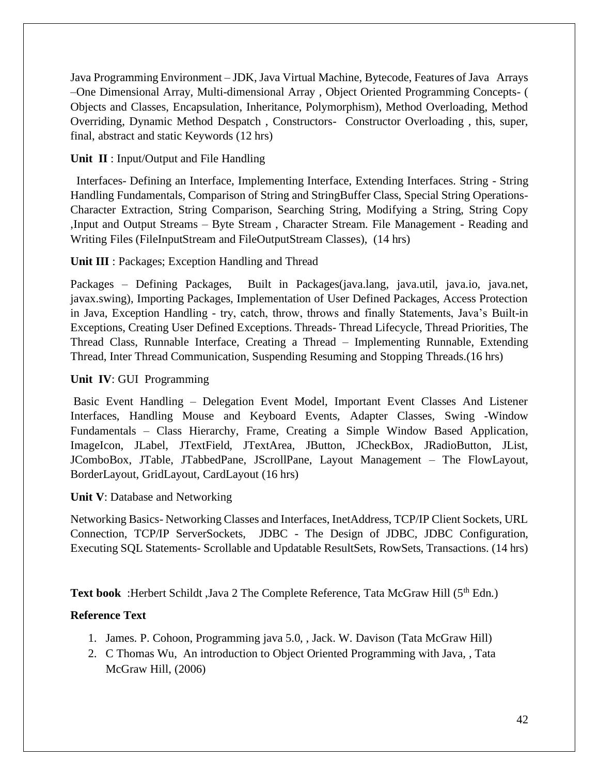Java Programming Environment – JDK, Java Virtual Machine, Bytecode, Features of Java Arrays –One Dimensional Array, Multi-dimensional Array , Object Oriented Programming Concepts- ( Objects and Classes, Encapsulation, Inheritance, Polymorphism), Method Overloading, Method Overriding, Dynamic Method Despatch , Constructors- Constructor Overloading , this, super, final, abstract and static Keywords (12 hrs)

### **Unit II** : Input/Output and File Handling

 Interfaces- Defining an Interface, Implementing Interface, Extending Interfaces. String - String Handling Fundamentals, Comparison of String and StringBuffer Class, Special String Operations-Character Extraction, String Comparison, Searching String, Modifying a String, String Copy ,Input and Output Streams – Byte Stream , Character Stream. File Management - Reading and Writing Files (FileInputStream and FileOutputStream Classes), (14 hrs)

### **Unit III** : Packages; Exception Handling and Thread

Packages – Defining Packages, Built in Packages(java.lang, java.util, java.io, java.net, javax.swing), Importing Packages, Implementation of User Defined Packages, Access Protection in Java, Exception Handling - try, catch, throw, throws and finally Statements, Java's Built-in Exceptions, Creating User Defined Exceptions. Threads- Thread Lifecycle, Thread Priorities, The Thread Class, Runnable Interface, Creating a Thread – Implementing Runnable, Extending Thread, Inter Thread Communication, Suspending Resuming and Stopping Threads.(16 hrs)

### **Unit IV**: GUI Programming

Basic Event Handling – Delegation Event Model, Important Event Classes And Listener Interfaces, Handling Mouse and Keyboard Events, Adapter Classes, Swing -Window Fundamentals – Class Hierarchy, Frame, Creating a Simple Window Based Application, ImageIcon, JLabel, JTextField, JTextArea, JButton, JCheckBox, JRadioButton, JList, JComboBox, JTable, JTabbedPane, JScrollPane, Layout Management – The FlowLayout, BorderLayout, GridLayout, CardLayout (16 hrs)

#### **Unit V**: Database and Networking

Networking Basics- Networking Classes and Interfaces, InetAddress, TCP/IP Client Sockets, URL Connection, TCP/IP ServerSockets, JDBC - The Design of JDBC, JDBC Configuration, Executing SQL Statements- Scrollable and Updatable ResultSets, RowSets, Transactions. (14 hrs)

**Text book** :Herbert Schildt ,Java 2 The Complete Reference, Tata McGraw Hill (5<sup>th</sup> Edn.)

## **Reference Text**

- 1. James. P. Cohoon, Programming java 5.0, , Jack. W. Davison (Tata McGraw Hill)
- 2. C Thomas Wu, An introduction to Object Oriented Programming with Java, , Tata McGraw Hill, (2006)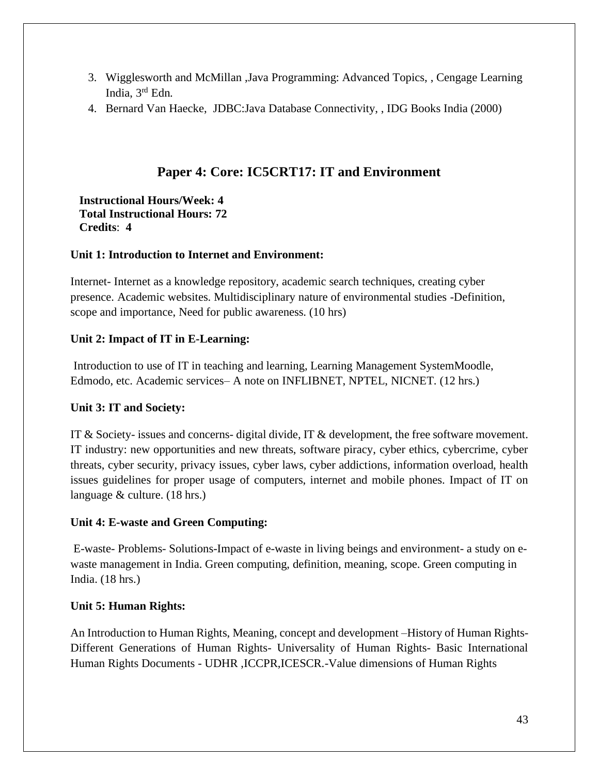- 3. Wigglesworth and McMillan ,Java Programming: Advanced Topics, , Cengage Learning India, 3rd Edn.
- 4. Bernard Van Haecke, JDBC:Java Database Connectivity, , IDG Books India (2000)

## **Paper 4: Core: IC5CRT17: IT and Environment**

**Instructional Hours/Week: 4 Total Instructional Hours: 72 Credits**: **4**

### **Unit 1: Introduction to Internet and Environment:**

Internet- Internet as a knowledge repository, academic search techniques, creating cyber presence. Academic websites. Multidisciplinary nature of environmental studies -Definition, scope and importance, Need for public awareness. (10 hrs)

## **Unit 2: Impact of IT in E-Learning:**

Introduction to use of IT in teaching and learning, Learning Management SystemMoodle, Edmodo, etc. Academic services– A note on INFLIBNET, NPTEL, NICNET. (12 hrs.)

## **Unit 3: IT and Society:**

IT & Society- issues and concerns- digital divide, IT & development, the free software movement. IT industry: new opportunities and new threats, software piracy, cyber ethics, cybercrime, cyber threats, cyber security, privacy issues, cyber laws, cyber addictions, information overload, health issues guidelines for proper usage of computers, internet and mobile phones. Impact of IT on language & culture. (18 hrs.)

## **Unit 4: E-waste and Green Computing:**

E-waste- Problems- Solutions-Impact of e-waste in living beings and environment- a study on ewaste management in India. Green computing, definition, meaning, scope. Green computing in India. (18 hrs.)

## **Unit 5: Human Rights:**

An Introduction to Human Rights, Meaning, concept and development –History of Human Rights-Different Generations of Human Rights- Universality of Human Rights- Basic International Human Rights Documents - UDHR ,ICCPR,ICESCR.-Value dimensions of Human Rights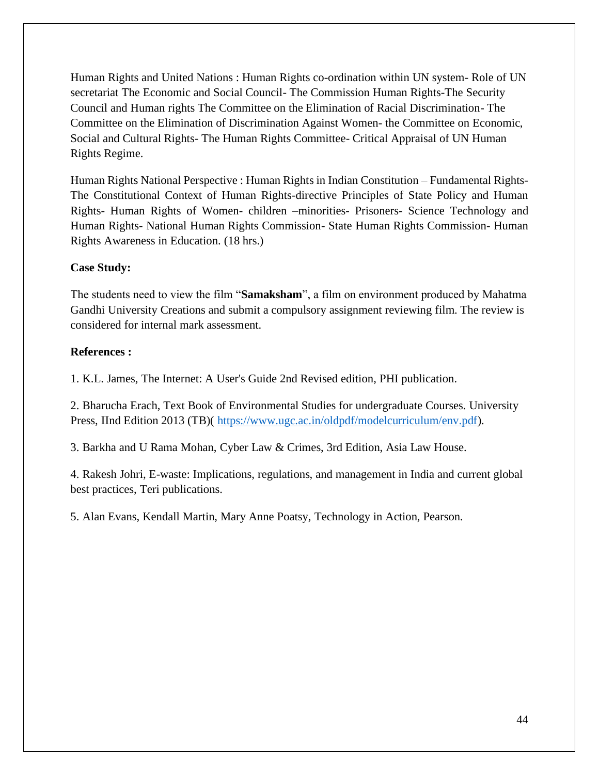Human Rights and United Nations : Human Rights co-ordination within UN system- Role of UN secretariat The Economic and Social Council- The Commission Human Rights-The Security Council and Human rights The Committee on the Elimination of Racial Discrimination- The Committee on the Elimination of Discrimination Against Women- the Committee on Economic, Social and Cultural Rights- The Human Rights Committee- Critical Appraisal of UN Human Rights Regime.

Human Rights National Perspective : Human Rights in Indian Constitution – Fundamental Rights-The Constitutional Context of Human Rights-directive Principles of State Policy and Human Rights- Human Rights of Women- children –minorities- Prisoners- Science Technology and Human Rights- National Human Rights Commission- State Human Rights Commission- Human Rights Awareness in Education. (18 hrs.)

### **Case Study:**

The students need to view the film "**Samaksham**", a film on environment produced by Mahatma Gandhi University Creations and submit a compulsory assignment reviewing film. The review is considered for internal mark assessment.

#### **References :**

1. K.L. James, The Internet: A User's Guide 2nd Revised edition, PHI publication.

2. Bharucha Erach, Text Book of Environmental Studies for undergraduate Courses. University Press, IInd Edition 2013 (TB)( [https://www.ugc.ac.in/oldpdf/modelcurriculum/env.pdf\)](https://www.ugc.ac.in/oldpdf/modelcurriculum/env.pdf).

3. Barkha and U Rama Mohan, Cyber Law & Crimes, 3rd Edition, Asia Law House.

4. Rakesh Johri, E-waste: Implications, regulations, and management in India and current global best practices, Teri publications.

5. Alan Evans, Kendall Martin, Mary Anne Poatsy, Technology in Action, Pearson.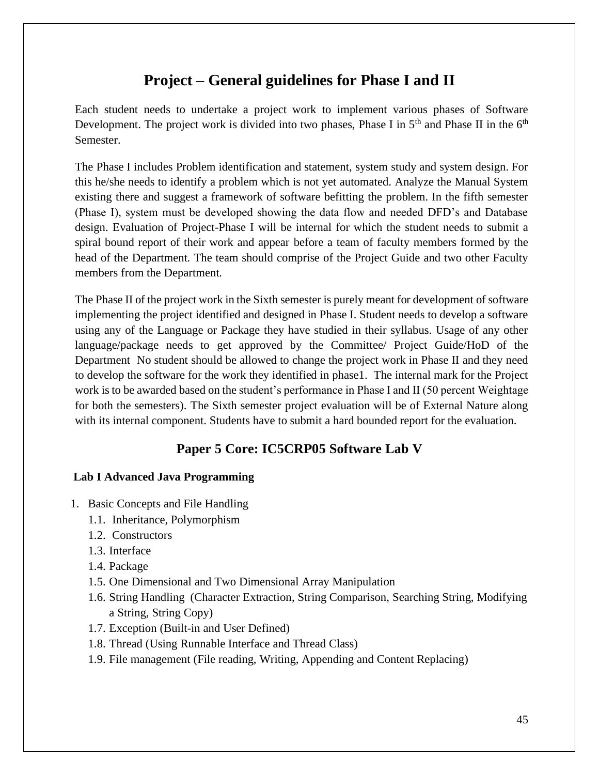# **Project – General guidelines for Phase I and II**

Each student needs to undertake a project work to implement various phases of Software Development. The project work is divided into two phases, Phase I in  $5<sup>th</sup>$  and Phase II in the  $6<sup>th</sup>$ Semester.

The Phase I includes Problem identification and statement, system study and system design. For this he/she needs to identify a problem which is not yet automated. Analyze the Manual System existing there and suggest a framework of software befitting the problem. In the fifth semester (Phase I), system must be developed showing the data flow and needed DFD's and Database design. Evaluation of Project-Phase I will be internal for which the student needs to submit a spiral bound report of their work and appear before a team of faculty members formed by the head of the Department. The team should comprise of the Project Guide and two other Faculty members from the Department.

The Phase II of the project work in the Sixth semester is purely meant for development of software implementing the project identified and designed in Phase I. Student needs to develop a software using any of the Language or Package they have studied in their syllabus. Usage of any other language/package needs to get approved by the Committee/ Project Guide/HoD of the Department No student should be allowed to change the project work in Phase II and they need to develop the software for the work they identified in phase1. The internal mark for the Project work is to be awarded based on the student's performance in Phase I and II (50 percent Weightage for both the semesters). The Sixth semester project evaluation will be of External Nature along with its internal component. Students have to submit a hard bounded report for the evaluation.

# **Paper 5 Core: IC5CRP05 Software Lab V**

## **Lab I Advanced Java Programming**

- 1. Basic Concepts and File Handling
	- 1.1. Inheritance, Polymorphism
	- 1.2. Constructors
	- 1.3. Interface
	- 1.4. Package
	- 1.5. One Dimensional and Two Dimensional Array Manipulation
	- 1.6. String Handling (Character Extraction, String Comparison, Searching String, Modifying a String, String Copy)
	- 1.7. Exception (Built-in and User Defined)
	- 1.8. Thread (Using Runnable Interface and Thread Class)
	- 1.9. File management (File reading, Writing, Appending and Content Replacing)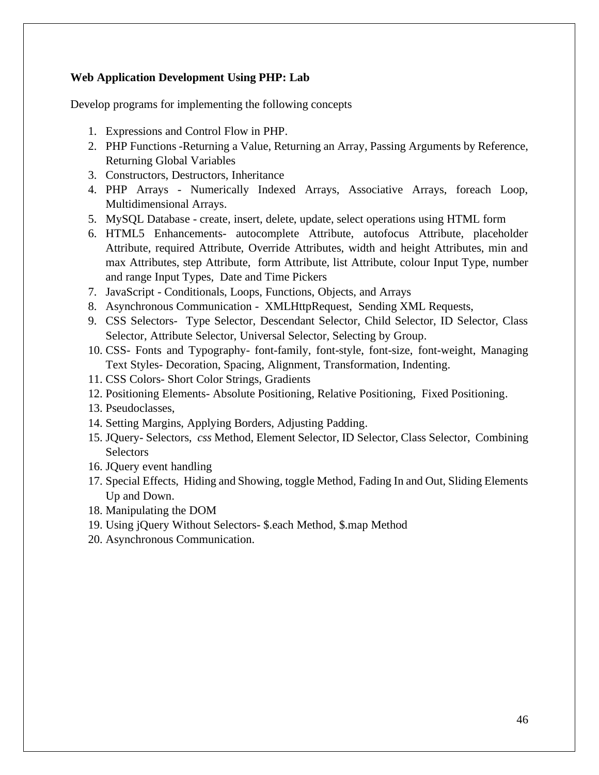#### **Web Application Development Using PHP: Lab**

Develop programs for implementing the following concepts

- 1. Expressions and Control Flow in PHP.
- 2. PHP Functions -Returning a Value, Returning an Array, Passing Arguments by Reference, Returning Global Variables
- 3. Constructors, Destructors, Inheritance
- 4. PHP Arrays Numerically Indexed Arrays, Associative Arrays, foreach Loop, Multidimensional Arrays.
- 5. MySQL Database create, insert, delete, update, select operations using HTML form
- 6. HTML5 Enhancements- autocomplete Attribute, autofocus Attribute, placeholder Attribute, required Attribute, Override Attributes, width and height Attributes, min and max Attributes, step Attribute, form Attribute, list Attribute, colour Input Type, number and range Input Types, Date and Time Pickers
- 7. JavaScript Conditionals, Loops, Functions, Objects, and Arrays
- 8. Asynchronous Communication XMLHttpRequest, Sending XML Requests,
- 9. CSS Selectors- Type Selector, Descendant Selector, Child Selector, ID Selector, Class Selector, Attribute Selector, Universal Selector, Selecting by Group.
- 10. CSS- Fonts and Typography- font-family, font-style, font-size, font-weight, Managing Text Styles- Decoration, Spacing, Alignment, Transformation, Indenting.
- 11. CSS Colors- Short Color Strings, Gradients
- 12. Positioning Elements- Absolute Positioning, Relative Positioning, Fixed Positioning.
- 13. Pseudoclasses,
- 14. Setting Margins, Applying Borders, Adjusting Padding.
- 15. JQuery- Selectors, *css* Method, Element Selector, ID Selector, Class Selector, Combining **Selectors**
- 16. JQuery event handling
- 17. Special Effects, Hiding and Showing, toggle Method, Fading In and Out, Sliding Elements Up and Down.
- 18. Manipulating the DOM
- 19. Using jQuery Without Selectors- \$.each Method, \$.map Method
- 20. Asynchronous Communication.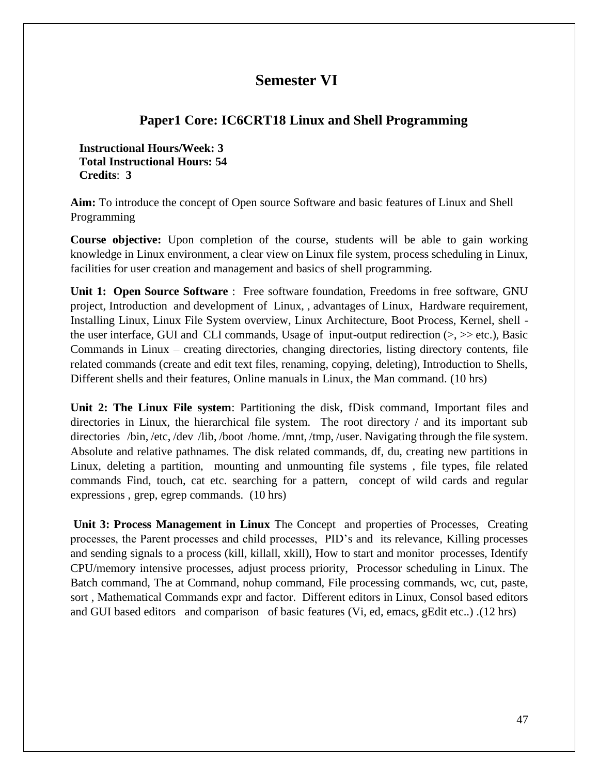# **Semester VI**

# **Paper1 Core: IC6CRT18 Linux and Shell Programming**

**Instructional Hours/Week: 3 Total Instructional Hours: 54 Credits**: **3**

**Aim:** To introduce the concept of Open source Software and basic features of Linux and Shell Programming

**Course objective:** Upon completion of the course, students will be able to gain working knowledge in Linux environment, a clear view on Linux file system, process scheduling in Linux, facilities for user creation and management and basics of shell programming.

**Unit 1: Open Source Software** : Free software foundation, Freedoms in free software, GNU project, Introduction and development of Linux, , advantages of Linux, Hardware requirement, Installing Linux, Linux File System overview, Linux Architecture, Boot Process, Kernel, shell the user interface, GUI and CLI commands, Usage of input-output redirection  $(>, \geq)$  etc.), Basic Commands in Linux – creating directories, changing directories, listing directory contents, file related commands (create and edit text files, renaming, copying, deleting), Introduction to Shells, Different shells and their features, Online manuals in Linux, the Man command. (10 hrs)

**Unit 2: The Linux File system**: Partitioning the disk, fDisk command, Important files and directories in Linux, the hierarchical file system. The root directory / and its important sub directories /bin, /etc, /dev /lib, /boot /home. /mnt, /tmp, /user. Navigating through the file system. Absolute and relative pathnames. The disk related commands, df, du, creating new partitions in Linux, deleting a partition, mounting and unmounting file systems , file types, file related commands Find, touch, cat etc. searching for a pattern, concept of wild cards and regular expressions , grep, egrep commands. (10 hrs)

**Unit 3: Process Management in Linux** The Concept and properties of Processes, Creating processes, the Parent processes and child processes, PID's and its relevance, Killing processes and sending signals to a process (kill, killall, xkill), How to start and monitor processes, Identify CPU/memory intensive processes, adjust process priority, Processor scheduling in Linux. The Batch command, The at Command, nohup command, File processing commands, wc, cut, paste, sort , Mathematical Commands expr and factor. Different editors in Linux, Consol based editors and GUI based editors and comparison of basic features (Vi, ed, emacs, gEdit etc..) .(12 hrs)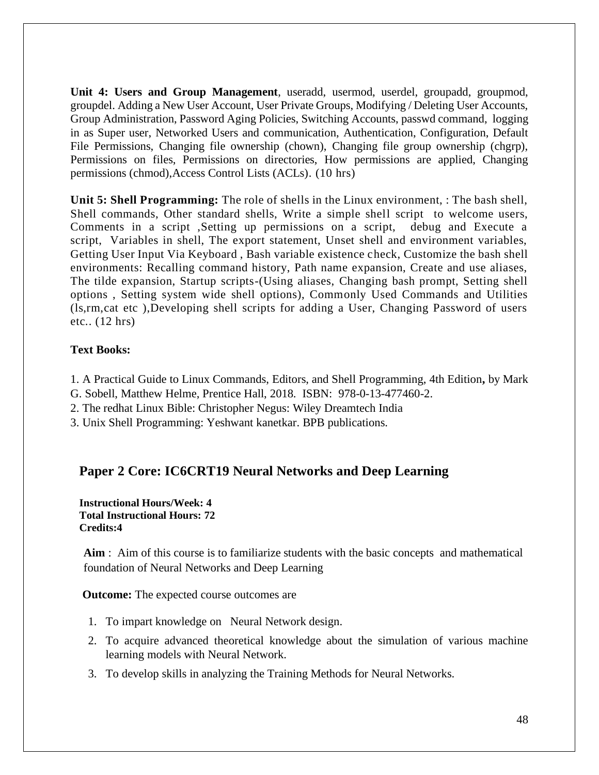**Unit 4: Users and Group Management**, useradd, usermod, userdel, groupadd, groupmod, groupdel. Adding a New User Account, User Private Groups, Modifying / Deleting User Accounts, Group Administration, Password Aging Policies, Switching Accounts, passwd command, logging in as Super user, Networked Users and communication, Authentication, Configuration, Default File Permissions, Changing file ownership (chown), Changing file group ownership (chgrp), Permissions on files, Permissions on directories, How permissions are applied, Changing permissions (chmod),Access Control Lists (ACLs). (10 hrs)

**Unit 5: Shell Programming:** The role of shells in the Linux environment, : The bash shell, Shell commands, Other standard shells, Write a simple shell script to welcome users, Comments in a script ,Setting up permissions on a script, debug and Execute a script, Variables in shell, The export statement, Unset shell and environment variables, Getting User Input Via Keyboard , Bash variable existence check, Customize the bash shell environments: Recalling command history, Path name expansion, Create and use aliases, The tilde expansion, Startup scripts-(Using aliases, Changing bash prompt, Setting shell options , Setting system wide shell options), Commonly Used Commands and Utilities (ls,rm,cat etc ),Developing shell scripts for adding a User, Changing Password of users etc.. (12 hrs)

### **Text Books:**

- 1. A Practical Guide to Linux Commands, Editors, and Shell Programming, 4th Edition**,** by Mark
- G. Sobell, Matthew Helme, Prentice Hall, 2018. ISBN: 978-0-13-477460-2.
- 2. The redhat Linux Bible: Christopher Negus: Wiley Dreamtech India
- 3. Unix Shell Programming: Yeshwant kanetkar. BPB publications.

## **Paper 2 Core: IC6CRT19 Neural Networks and Deep Learning**

**Instructional Hours/Week: 4 Total Instructional Hours: 72 Credits:4**

**Aim** : Aim of this course is to familiarize students with the basic concepts and mathematical foundation of Neural Networks and Deep Learning

**Outcome:** The expected course outcomes are

- 1. To impart knowledge on Neural Network design.
- 2. To acquire advanced theoretical knowledge about the simulation of various machine learning models with Neural Network.
- 3. To develop skills in analyzing the Training Methods for Neural Networks.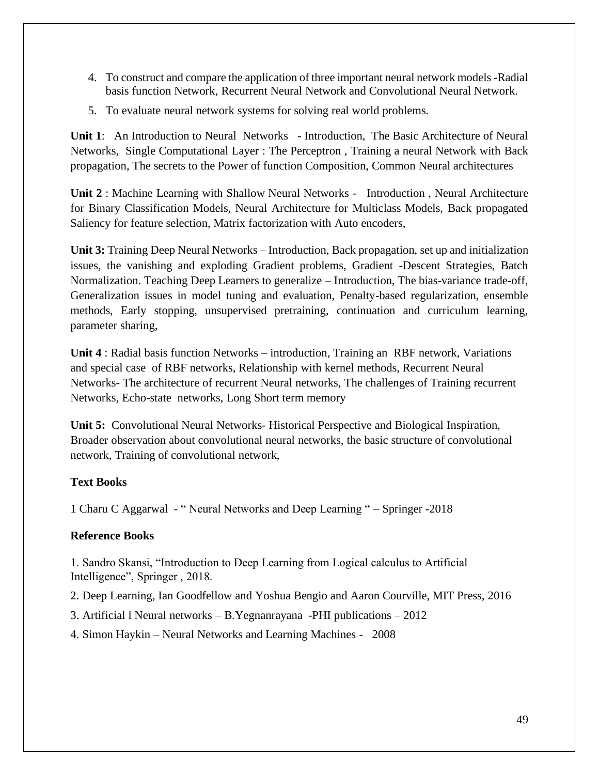- 4. To construct and compare the application of three important neural network models -Radial basis function Network, Recurrent Neural Network and Convolutional Neural Network.
- 5. To evaluate neural network systems for solving real world problems.

**Unit 1**: An Introduction to Neural Networks - Introduction, The Basic Architecture of Neural Networks, Single Computational Layer : The Perceptron , Training a neural Network with Back propagation, The secrets to the Power of function Composition, Common Neural architectures

**Unit 2** : Machine Learning with Shallow Neural Networks - Introduction , Neural Architecture for Binary Classification Models, Neural Architecture for Multiclass Models, Back propagated Saliency for feature selection, Matrix factorization with Auto encoders,

**Unit 3:** Training Deep Neural Networks – Introduction, Back propagation, set up and initialization issues, the vanishing and exploding Gradient problems, Gradient -Descent Strategies, Batch Normalization. Teaching Deep Learners to generalize – Introduction, The bias-variance trade-off, Generalization issues in model tuning and evaluation, Penalty-based regularization, ensemble methods, Early stopping, unsupervised pretraining, continuation and curriculum learning, parameter sharing,

**Unit 4** : Radial basis function Networks – introduction, Training an RBF network, Variations and special case of RBF networks, Relationship with kernel methods, Recurrent Neural Networks- The architecture of recurrent Neural networks, The challenges of Training recurrent Networks, Echo-state networks, Long Short term memory

**Unit 5:** Convolutional Neural Networks- Historical Perspective and Biological Inspiration, Broader observation about convolutional neural networks, the basic structure of convolutional network, Training of convolutional network,

## **Text Books**

1 Charu C Aggarwal - " Neural Networks and Deep Learning " – Springer -2018

## **Reference Books**

1. Sandro Skansi, "Introduction to Deep Learning from Logical calculus to Artificial Intelligence", Springer , 2018.

- 2. Deep Learning, Ian Goodfellow and Yoshua Bengio and Aaron Courville, MIT Press, 2016
- 3. Artificial l Neural networks B.Yegnanrayana -PHI publications 2012
- 4. Simon Haykin Neural Networks and Learning Machines 2008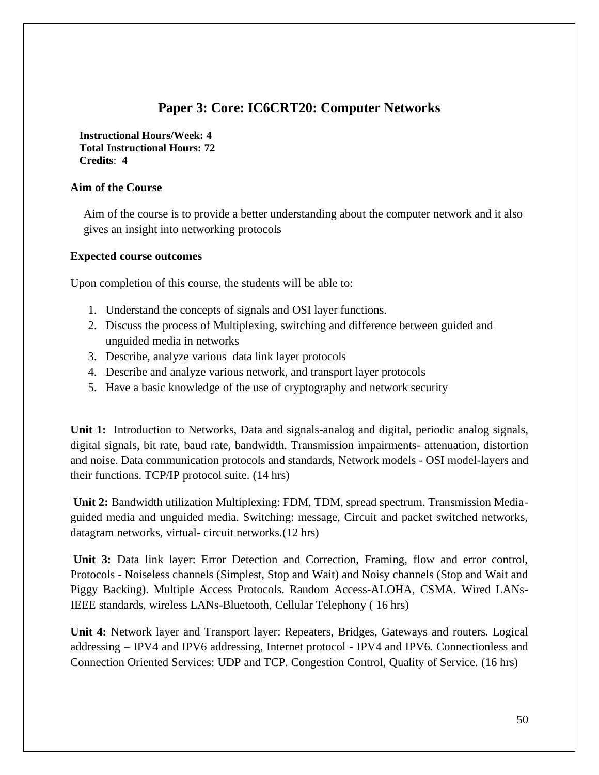# **Paper 3: Core: IC6CRT20: Computer Networks**

**Instructional Hours/Week: 4 Total Instructional Hours: 72 Credits**: **4**

### **Aim of the Course**

Aim of the course is to provide a better understanding about the computer network and it also gives an insight into networking protocols

#### **Expected course outcomes**

Upon completion of this course, the students will be able to:

- 1. Understand the concepts of signals and OSI layer functions.
- 2. Discuss the process of Multiplexing, switching and difference between guided and unguided media in networks
- 3. Describe, analyze various data link layer protocols
- 4. Describe and analyze various network, and transport layer protocols
- 5. Have a basic knowledge of the use of cryptography and network security

**Unit 1:** Introduction to Networks, Data and signals-analog and digital, periodic analog signals, digital signals, bit rate, baud rate, bandwidth. Transmission impairments- attenuation, distortion and noise. Data communication protocols and standards, Network models - OSI model-layers and their functions. TCP/IP protocol suite. (14 hrs)

**Unit 2:** Bandwidth utilization Multiplexing: FDM, TDM, spread spectrum. Transmission Mediaguided media and unguided media. Switching: message, Circuit and packet switched networks, datagram networks, virtual- circuit networks.(12 hrs)

**Unit 3:** Data link layer: Error Detection and Correction, Framing, flow and error control, Protocols - Noiseless channels (Simplest, Stop and Wait) and Noisy channels (Stop and Wait and Piggy Backing). Multiple Access Protocols. Random Access-ALOHA, CSMA. Wired LANs-IEEE standards, wireless LANs-Bluetooth, Cellular Telephony ( 16 hrs)

**Unit 4:** Network layer and Transport layer: Repeaters, Bridges, Gateways and routers. Logical addressing – IPV4 and IPV6 addressing, Internet protocol - IPV4 and IPV6. Connectionless and Connection Oriented Services: UDP and TCP. Congestion Control, Quality of Service. (16 hrs)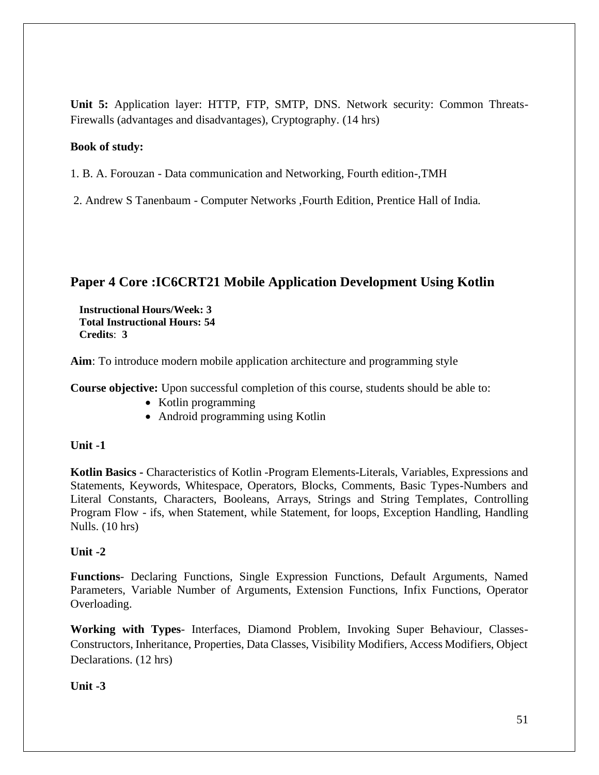**Unit 5:** Application layer: HTTP, FTP, SMTP, DNS. Network security: Common Threats-Firewalls (advantages and disadvantages), Cryptography. (14 hrs)

#### **Book of study:**

1. B. A. Forouzan - Data communication and Networking, Fourth edition-,TMH

2. Andrew S Tanenbaum - Computer Networks ,Fourth Edition, Prentice Hall of India.

## **Paper 4 Core :IC6CRT21 Mobile Application Development Using Kotlin**

**Instructional Hours/Week: 3 Total Instructional Hours: 54 Credits**: **3**

**Aim**: To introduce modern mobile application architecture and programming style

**Course objective:** Upon successful completion of this course, students should be able to:

- Kotlin programming
- Android programming using Kotlin

#### **Unit -1**

**Kotlin Basics -** Characteristics of Kotlin -Program Elements-Literals, Variables, Expressions and Statements, Keywords, Whitespace, Operators, Blocks, Comments, Basic Types-Numbers and Literal Constants, Characters, Booleans, Arrays, Strings and String Templates, Controlling Program Flow - ifs, when Statement, while Statement, for loops, Exception Handling, Handling Nulls. (10 hrs)

#### **Unit -2**

**Functions**- Declaring Functions, Single Expression Functions, Default Arguments, Named Parameters, Variable Number of Arguments, Extension Functions, Infix Functions, Operator Overloading.

**Working with Types**- Interfaces, Diamond Problem, Invoking Super Behaviour, Classes-Constructors, Inheritance, Properties, Data Classes, Visibility Modifiers, Access Modifiers, Object Declarations. (12 hrs)

**Unit -3**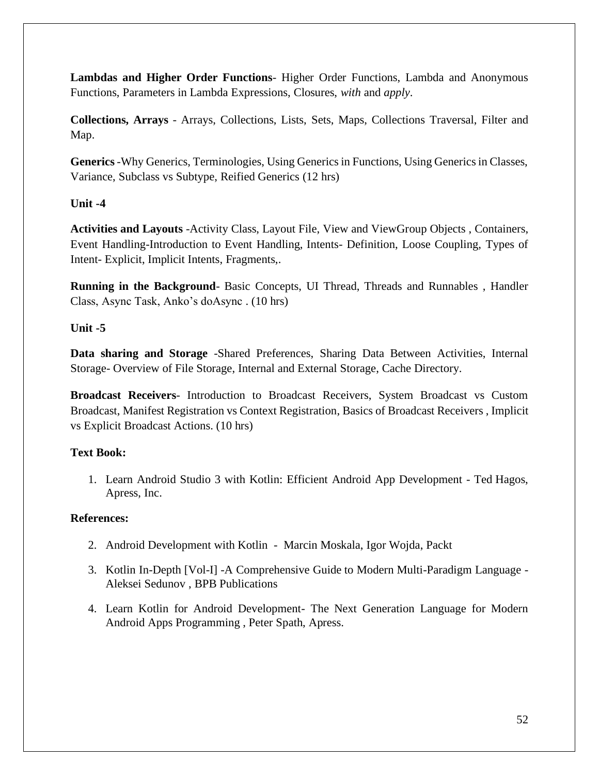**Lambdas and Higher Order Functions**- Higher Order Functions, Lambda and Anonymous Functions, Parameters in Lambda Expressions, Closures, *with* and *apply*.

**Collections, Arrays** - Arrays, Collections, Lists, Sets, Maps, Collections Traversal, Filter and Map.

**Generics**-Why Generics, Terminologies, Using Generics in Functions, Using Generics in Classes, Variance, Subclass vs Subtype, Reified Generics (12 hrs)

## **Unit -4**

**Activities and Layouts** -Activity Class, Layout File, View and ViewGroup Objects , Containers, Event Handling-Introduction to Event Handling, Intents- Definition, Loose Coupling, Types of Intent- Explicit, Implicit Intents, Fragments,.

**Running in the Background**- Basic Concepts, UI Thread, Threads and Runnables , Handler Class, Async Task, Anko's doAsync . (10 hrs)

## **Unit -5**

**Data sharing and Storage** -Shared Preferences, Sharing Data Between Activities, Internal Storage- Overview of File Storage, Internal and External Storage, Cache Directory.

**Broadcast Receivers**- Introduction to Broadcast Receivers, System Broadcast vs Custom Broadcast, Manifest Registration vs Context Registration, Basics of Broadcast Receivers , Implicit vs Explicit Broadcast Actions. (10 hrs)

## **Text Book:**

1. Learn Android Studio 3 with Kotlin: Efficient Android App Development - Ted Hagos, Apress, Inc.

## **References:**

- 2. Android Development with Kotlin Marcin Moskala, Igor Wojda, Packt
- 3. Kotlin In-Depth [Vol-I] -A Comprehensive Guide to Modern Multi-Paradigm Language Aleksei Sedunov , BPB Publications
- 4. Learn Kotlin for Android Development- The Next Generation Language for Modern Android Apps Programming , Peter Spath, Apress.